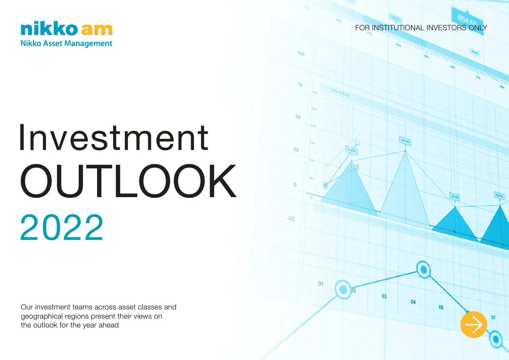

FOR INSTITUTIONAL INVESTORS ONLY

03

 $0<sub>5</sub>$ 

# Investment 2022 OUTLOOK

Our investment teams across asset classes and geographical regions present their views on the outlook for the year ahead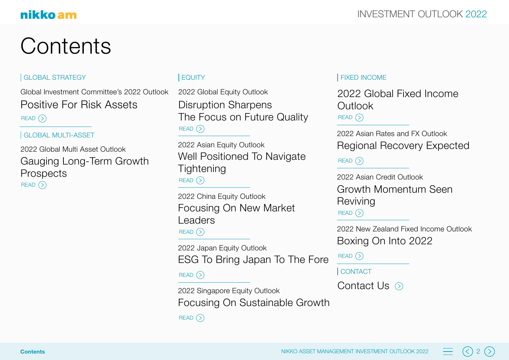## **Contents**

### | GLOBAL STRATEGY | EQUITY | EQUITY | FIXED INCOME

Global Investment Committee's 2022 Outlook Positive For Risk Assets  $READ$   $\odot$ 

#### GLOBAL MULTI-ASSET

READ (><br>| GLOBA<br>2022 G<br>**Caug**<br>Prosp<br>READ (>  $READ$   $()$ 2022 Global Multi Asset Outlook Gauging Long-Term Growth **Prospects** 

 $READ$   $($ 2022 Global Equity Outlook Disruption Sharpens The Focus on Future Quality

 $READ$   $( )$ 2022 Asian Equity Outlook Well Positioned To Navigate **Tightening** 

 $READ$   $()$ 2022 China Equity Outlook Focusing On New Market Leaders

2022 Japan Equity Outlook ESG To Bring Japan To The Fore

 $READ$   $\odot$ 

 $READ$   $\odot$ 2022 Singapore Equity Outlook Focusing On Sustainable Growth

 $READ$   $()$ 2022 Global Fixed Income **Outlook** 

2022 Asian Rates and FX Outlook Regional Recovery Expected

 $READ$   $\odot$ 

 $READ$   $\odot$ 2022 Asian Credit Outlook Growth Momentum Seen **Reviving** 

2022 New Zealand Fixed Income Outlook Boxing On Into 2022

 $READ$   $($ 

**CONTACT** 

Contact Us  $\odot$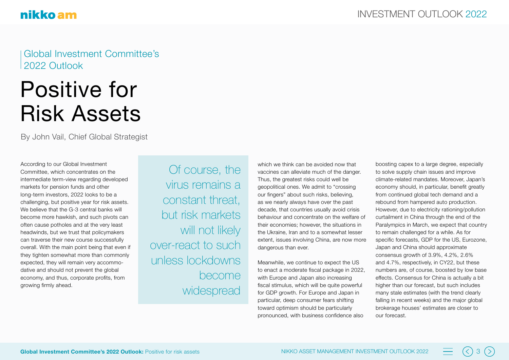Global Investment Committee's 2022 Outlook

## Positive for Risk Assets

By John Vail, Chief Global Strategist

According to our Global Investment Committee, which concentrates on the intermediate term-view regarding developed markets for pension funds and other long-term investors, 2022 looks to be a challenging, but positive year for risk assets. We believe that the G-3 central banks will become more hawkish, and such pivots can often cause potholes and at the very least headwinds, but we trust that policymakers can traverse their new course successfully overall. With the main point being that even if they tighten somewhat more than commonly expected, they will remain very accommodative and should not prevent the global economy, and thus, corporate profits, from growing firmly ahead.

Of course, the virus remains a constant threat, but risk markets will not likely over-react to such unless lockdowns become widespread

which we think can be avoided now that vaccines can alleviate much of the danger. Thus, the greatest risks could well be geopolitical ones. We admit to "crossing our fingers" about such risks, believing, as we nearly always have over the past decade, that countries usually avoid crisis behaviour and concentrate on the welfare of their economies; however, the situations in the Ukraine, Iran and to a somewhat lesser extent, issues involving China, are now more dangerous than ever.

Meanwhile, we continue to expect the US to enact a moderate fiscal package in 2022, with Europe and Japan also increasing fiscal stimulus, which will be quite powerful for GDP growth. For Europe and Japan in particular, deep consumer fears shifting toward optimism should be particularly pronounced, with business confidence also

boosting capex to a large degree, especially to solve supply chain issues and improve climate-related mandates. Moreover, Japan's economy should, in particular, benefit greatly from continued global tech demand and a rebound from hampered auto production. However, due to electricity rationing/pollution curtailment in China through the end of the Paralympics in March, we expect that country to remain challenged for a while. As for specific forecasts, GDP for the US, Eurozone, Japan and China should approximate consensus growth of 3.9%, 4.2%, 2.6% and 4.7%, respectively, in CY22, but these numbers are, of course, boosted by low base effects. Consensus for China is actually a bit higher than our forecast, but such includes many stale estimates (with the trend clearly falling in recent weeks) and the major global brokerage houses' estimates are closer to our forecast.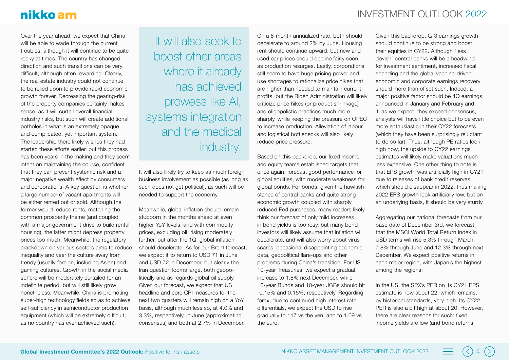## nikko am

Over the year ahead, we expect that China will be able to wade through the current troubles, although it will continue to be quite rocky at times. The country has changed direction and such transitions can be very difficult, although often rewarding. Clearly, the real estate industry could not continue to be relied upon to provide rapid economic growth forever. Decreasing the gearing-risk of the property companies certainly makes sense, as it will curtail overall financial industry risks, but such will create additional potholes in what is an extremely opaque and complicated, yet important system. The leadership there likely wishes they had started these efforts earlier, but this process has been years in the making and they seem intent on maintaining the course, confident that they can prevent systemic risk and a major negative wealth effect by consumers and corporations. A key question is whether a large number of vacant apartments will be either rented out or sold. Although the former would reduce rents, matching the common prosperity theme (and coupled with a major government drive to build rental housing), the latter might depress property prices too much. Meanwhile, the regulatory crackdown on various sectors aims to reduce inequality and veer the culture away from trendy (usually foreign, including Asian) and gaming cultures. Growth in the social media sphere will be moderately curtailed for an indefinite period, but will still likely grow nonetheless. Meanwhile, China is promoting super-high technology fields so as to achieve self-sufficiency in semiconductor production equipment (which will be extremely difficult, as no country has ever achieved such).

It will also seek to boost other areas where it already has achieved prowess like AI, systems integration and the medical industry.

It will also likely try to keep as much foreign business involvement as possible (as long as such does not get political), as such will be needed to support the economy.

Meanwhile, global inflation should remain stubborn in the months ahead at even higher YoY levels, and with commodity prices, excluding oil, rising moderately further, but after the 1Q, global inflation should decelerate. As for our Brent forecast, we expect it to return to USD 71 in June and USD 72 in December, but clearly the Iran question looms large, both geopolitically and as regards global oil supply. Given our forecast, we expect that US headline and core CPI measures for the next two quarters will remain high on a YoY basis, although much less so, at 4.0% and 3.3%, respectively, in June (approximating consensus) and both at 2.7% in December.

On a 6-month annualized rate, both should decelerate to around 2% by June. Housing rent should continue upward, but new and used car prices should decline fairly soon as production resurges. Lastly, corporations still seem to have huge pricing power and use shortages to rationalize price hikes that are higher than needed to maintain current profits, but the Biden Administration will likely criticize price hikes (or product shrinkage) and oligopolistic practices much more sharply, while keeping the pressure on OPEC to increase production. Alleviation of labour and logistical bottlenecks will also likely reduce price pressure.

Based on this backdrop, our fixed income and equity teams established targets that, once again, forecast good performance for global equities, with moderate weakness for global bonds. For bonds, given the hawkish stance of central banks and quite strong economic growth coupled with sharply reduced Fed purchases, many readers likely think our forecast of only mild increases in bond yields is too rosy, but many bond investors will likely assume that inflation will decelerate, and will also worry about virus scares, occasional disappointing economic data, geopolitical flare-ups and other problems during China's transition. For US 10-year Treasuries, we expect a gradual increase to 1.8% next December, while 10-year Bunds and 10-year JGBs should hit -0.15% and 0.15%, respectively. Regarding forex, due to continued high interest rate differentials, we expect the USD to rise gradually to 117 vs the yen, and to 1.09 vs the euro.

Given this backdrop, G-3 earnings growth should continue to be strong and boost their equities in CY22. Although "less dovish" central banks will be a headwind for investment sentiment, increased fiscal spending and the global vaccine-driven economic and corporate earnings recovery should more than offset such. Indeed, a major positive factor should be 4Q earnings announced in January and February and, if, as we expect, they exceed consensus, analysts will have little choice but to be even more enthusiastic in their CY22 forecasts (which they have been surprisingly reluctant to do so far). Thus, although PE ratios look high now, the upside to CY22 earnings estimates will likely make valuations much less expensive. One other thing to note is that EPS growth was artificially high in CY21 due to releases of bank credit reserves, which should disappear in 2022, thus making 2022 EPS growth look artificially low, but on an underlying basis, it should be very sturdy.

Aggregating our national forecasts from our base date of December 3rd, we forecast that the MSCI World Total Return Index in USD terms will rise 5.3% through March, 7.8% through June and 12.3% through next December. We expect positive returns in each major region, with Japan's the highest among the regions:

In the US, the SPX's PER on its CY21 EPS estimate is now about 22, which remains, by historical standards, very high. Its CY22 PER is also a bit high at about 20. However, there are clear reasons for such: fixed income yields are low (and bond returns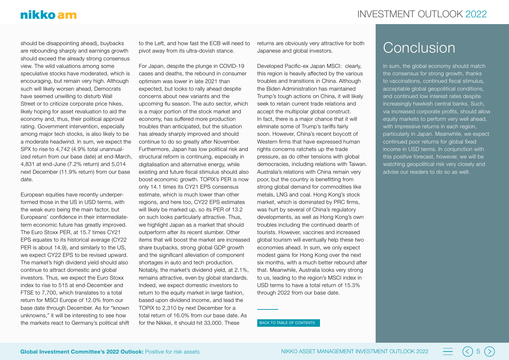should be disappointing ahead), buybacks are rebounding sharply and earnings growth should exceed the already strong consensus view. The wild valuations among some speculative stocks have moderated, which is encouraging, but remain very high. Although such will likely worsen ahead, Democrats have seemed unwilling to disturb Wall Street or to criticize corporate price hikes. likely hoping for asset revaluation to aid the economy and, thus, their political approval rating. Government intervention, especially among major tech stocks, is also likely to be a moderate headwind. In sum, we expect the SPX to rise to 4,742 (4.9% total unannualized return from our base date) at end-March, 4,831 at end-June (7.2% return) and 5,014 next December (11.9% return) from our base date.

European equities have recently underperformed those in the US in USD terms, with the weak euro being the main factor, but Europeans' confidence in their intermediateterm economic future has greatly improved. The Euro Stoxx PER, at 15.7 times CY21 EPS equates to its historical average (CY22 PER is about 14.9), and similarly to the US, we expect CY22 EPS to be revised upward. The market's high dividend yield should also continue to attract domestic and global investors. Thus, we expect the Euro Stoxx index to rise to 515 at end-December and FTSE to 7,700, which translates to a total return for MSCI Europe of 12.0% from our base date through December. As for "known unknowns," it will be interesting to see how the markets react to Germany's political shift to the Left, and how fast the ECB will need to pivot away from its ultra-dovish stance.

For Japan, despite the plunge in COVID-19 cases and deaths, the rebound in consumer optimism was lower in late 2021 than expected, but looks to rally ahead despite concerns about new variants and the upcoming flu season. The auto sector, which is a major portion of the stock market and economy, has suffered more production troubles than anticipated, but the situation has already sharply improved and should continue to do so greatly after November. Furthermore, Japan has low political risk and structural reform is continuing, especially in digitalisation and alternative energy, while existing and future fiscal stimulus should also boost economic growth. TOPIX's PER is now only 14.1 times its CY21 EPS consensus estimate, which is much lower than other regions, and here too, CY22 EPS estimates will likely be marked up, so its PER of 13.2 on such looks particularly attractive. Thus, we highlight Japan as a market that should outperform after its recent slumber. Other items that will boost the market are increased share buybacks, strong global GDP growth and the significant alleviation of component shortages in auto and tech production. Notably, the market's dividend yield, at 2.1%, remains attractive, even by global standards. Indeed, we expect domestic investors to return to the equity market in large fashion. based upon dividend income, and lead the TOPIX to 2,310 by next December for a total return of 16.0% from our base date. As for the Nikkei, it should hit 33,000. These

returns are obviously very attractive for both Japanese and global investors.

Developed Pacific-ex Japan MSCI: clearly, this region is heavily affected by the various troubles and transitions in China. Although the Biden Administration has maintained Trump's tough actions on China, it will likely seek to retain current trade relations and accept the multipolar global construct. In fact, there is a major chance that it will eliminate some of Trump's tariffs fairly soon. However, China's recent boycott of Western firms that have expressed human rights concerns ratchets up the trade pressure, as do other tensions with global democracies, including relations with Taiwan. Australia's relations with China remain very poor, but the country is benefitting from strong global demand for commodities like metals, LNG and coal. Hong Kong's stock market, which is dominated by PRC firms, was hurt by several of China's regulatory developments, as well as Hong Kong's own troubles including the continued dearth of tourists. However, vaccines and increased global tourism will eventually help these two economies ahead. In sum, we only expect modest gains for Hong Kong over the next six months, with a much better rebound after that. Meanwhile, Australia looks very strong to us, leading to the region's MSCI index in USD terms to have a total return of 15.3% through 2022 from our base date.

#### BACK TO TABLE OF CONTENTS

## Conclusion

In sum, the global economy should match the consensus for strong growth, thanks to vaccinations, continued fiscal stimulus, acceptable global geopolitical conditions, and continued low interest rates despite increasingly hawkish central banks. Such, via increased corporate profits, should allow equity markets to perform very well ahead, with impressive returns in each region. particularly in Japan. Meanwhile, we expect continued poor returns for global fixed income in USD terms. In conjunction with this positive forecast, however, we will be watching geopolitical risk very closely and advise our readers to do so as well.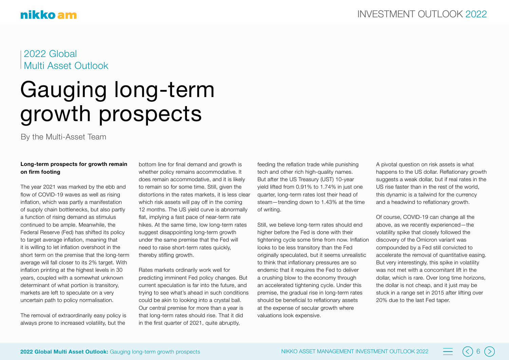2022 Global Multi Asset Outlook

## Gauging long-term growth prospects

By the Multi-Asset Team

#### **Long-term prospects for growth remain on firm footing**

The year 2021 was marked by the ebb and flow of COVID-19 waves as well as rising inflation, which was partly a manifestation of supply chain bottlenecks, but also partly a function of rising demand as stimulus continued to be ample. Meanwhile, the Federal Reserve (Fed) has shifted its policy to target average inflation, meaning that it is willing to let inflation overshoot in the short term on the premise that the long-term average will fall closer to its 2% target. With inflation printing at the highest levels in 30 years, coupled with a somewhat unknown determinant of what portion is transitory, markets are left to speculate on a very uncertain path to policy normalisation.

The removal of extraordinarily easy policy is always prone to increased volatility, but the

bottom line for final demand and growth is whether policy remains accommodative. It does remain accommodative, and it is likely to remain so for some time. Still, given the distortions in the rates markets, it is less clear which risk assets will pay off in the coming 12 months. The US yield curve is abnormally flat, implying a fast pace of near-term rate hikes. At the same time, low long-term rates suggest disappointing long-term growth under the same premise that the Fed will need to raise short-term rates quickly, thereby stifling growth.

Rates markets ordinarily work well for predicting imminent Fed policy changes. But current speculation is far into the future, and trying to see what's ahead in such conditions could be akin to looking into a crystal ball. Our central premise for more than a year is that long-term rates should rise. That it did in the first quarter of 2021, quite abruptly,

feeding the reflation trade while punishing tech and other rich high-quality names. But after the US Treasury (UST) 10-year yield lifted from 0.91% to 1.74% in just one quarter, long-term rates lost their head of steam—trending down to 1.43% at the time of writing.

Still, we believe long-term rates should end higher before the Fed is done with their tightening cycle some time from now. Inflation looks to be less transitory than the Fed originally speculated, but it seems unrealistic to think that inflationary pressures are so endemic that it requires the Fed to deliver a crushing blow to the economy through an accelerated tightening cycle. Under this premise, the gradual rise in long-term rates should be beneficial to reflationary assets at the expense of secular growth where valuations look expensive.

A pivotal question on risk assets is what happens to the US dollar. Reflationary growth suggests a weak dollar, but if real rates in the US rise faster than in the rest of the world, this dynamic is a tailwind for the currency and a headwind to reflationary growth.

Of course, COVID-19 can change all the above, as we recently experienced—the volatility spike that closely followed the discovery of the Omicron variant was compounded by a Fed still convicted to accelerate the removal of quantitative easing. But very interestingly, this spike in volatility was not met with a concomitant lift in the dollar, which is rare. Over long time horizons, the dollar is not cheap, and it just may be stuck in a range set in 2015 after lifting over 20% due to the last Fed taper.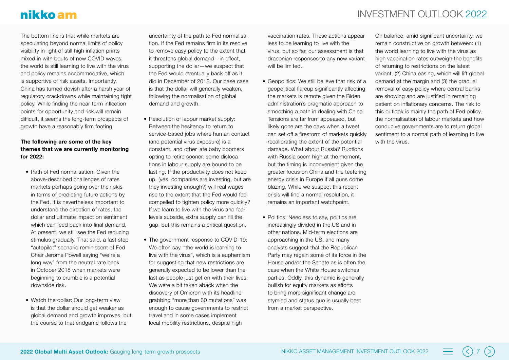The bottom line is that while markets are speculating beyond normal limits of policy visibility in light of still high inflation prints mixed in with bouts of new COVID waves, the world is still learning to live with the virus and policy remains accommodative, which is supportive of risk assets. Importantly, China has turned dovish after a harsh year of regulatory crackdowns while maintaining tight policy. While finding the near-term inflection points for opportunity and risk will remain difficult, it seems the long-term prospects of growth have a reasonably firm footing.

#### **The following are some of the key themes that we are currently monitoring for 2022:**

- Path of Fed normalisation: Given the above-described challenges of rates markets perhaps going over their skis in terms of predicting future actions by the Fed, it is nevertheless important to understand the direction of rates, the dollar and ultimate impact on sentiment which can feed back into final demand. At present, we still see the Fed reducing stimulus gradually. That said, a fast step "autopilot" scenario reminiscent of Fed Chair Jerome Powell saying "we're a long way" from the neutral rate back in October 2018 when markets were beginning to crumble is a potential downside risk.
- Watch the dollar: Our long-term view is that the dollar should get weaker as global demand and growth improves, but the course to that endgame follows the

uncertainty of the path to Fed normalisation. If the Fed remains firm in its resolve to remove easy policy to the extent that it threatens global demand—in effect, supporting the dollar—we suspect that the Fed would eventually back off as it did in December of 2018. Our base case is that the dollar will generally weaken, following the normalisation of global demand and growth.

- Resolution of labour market supply: Between the hesitancy to return to service-based jobs where human contact (and potential virus exposure) is a constant, and other late baby boomers opting to retire sooner, some dislocations in labour supply are bound to be lasting. If the productivity does not keep up, (yes, companies are investing, but are they investing enough?) will real wages rise to the extent that the Fed would feel compelled to tighten policy more quickly? If we learn to live with the virus and fear levels subside, extra supply can fill the gap, but this remains a critical question.
- The government response to COVID-19: We often say, "the world is learning to live with the virus", which is a euphemism for suggesting that new restrictions are generally expected to be lower than the last as people just get on with their lives. We were a bit taken aback when the discovery of Omicron with its headlinegrabbing "more than 30 mutations" was enough to cause governments to restrict travel and in some cases implement local mobility restrictions, despite high

## INVESTMENT OUTLOOK 2022

vaccination rates. These actions appear less to be learning to live with the virus, but so far, our assessment is that draconian responses to any new variant will be limited.

- Geopolitics: We still believe that risk of a geopolitical flareup significantly affecting the markets is remote given the Biden administration's pragmatic approach to smoothing a path in dealing with China. Tensions are far from appeased, but likely gone are the days when a tweet can set off a firestorm of markets quickly recalibrating the extent of the potential damage. What about Russia? Ructions with Russia seem high at the moment, but the timing is inconvenient given the greater focus on China and the teetering energy crisis in Europe if all guns come blazing. While we suspect this recent crisis will find a normal resolution, it remains an important watchpoint.
- Politics: Needless to say, politics are increasingly divided in the US and in other nations. Mid-term elections are approaching in the US, and many analysts suggest that the Republican Party may regain some of its force in the House and/or the Senate as is often the case when the White House switches parties. Oddly, this dynamic is generally bullish for equity markets as efforts to bring more significant change are stymied and status quo is usually best from a market perspective.

On balance, amid significant uncertainty, we remain constructive on growth between: (1) the world learning to live with the virus as high vaccination rates outweigh the benefits of returning to restrictions on the latest variant, (2) China easing, which will lift global demand at the margin and (3) the gradual removal of easy policy where central banks are showing and are justified in remaining patient on inflationary concerns. The risk to this outlook is mainly the path of Fed policy, the normalisation of labour markets and how conducive governments are to return global sentiment to a normal path of learning to live with the virus.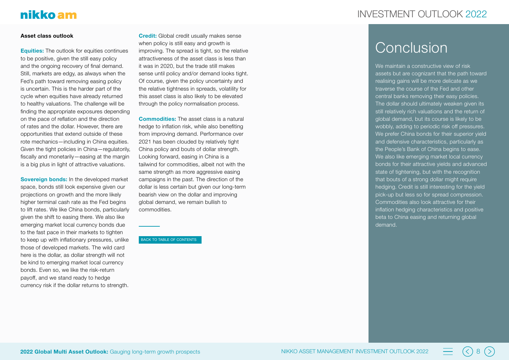## INVESTMENT OLITI OOK 2022

## nikko am

#### **Asset class outlook**

**Equities:** The outlook for equities continues to be positive, given the still easy policy and the ongoing recovery of final demand. Still, markets are edgy, as always when the Fed's path toward removing easing policy is uncertain. This is the harder part of the cycle when equities have already returned to healthy valuations. The challenge will be finding the appropriate exposures depending on the pace of reflation and the direction of rates and the dollar. However, there are opportunities that extend outside of these rote mechanics—including in China equities. Given the tight policies in China—regulatorily, fiscally and monetarily—easing at the margin is a big plus in light of attractive valuations.

**Sovereign bonds:** In the developed market space, bonds still look expensive given our projections on growth and the more likely higher terminal cash rate as the Fed begins to lift rates. We like China bonds, particularly given the shift to easing there. We also like emerging market local currency bonds due to the fast pace in their markets to tighten to keep up with inflationary pressures, unlike those of developed markets. The wild card here is the dollar, as dollar strength will not be kind to emerging market local currency bonds. Even so, we like the risk-return payoff, and we stand ready to hedge currency risk if the dollar returns to strength.

**Credit:** Global credit usually makes sense when policy is still easy and growth is improving. The spread is tight, so the relative attractiveness of the asset class is less than it was in 2020, but the trade still makes sense until policy and/or demand looks tight. Of course, given the policy uncertainty and the relative tightness in spreads, volatility for this asset class is also likely to be elevated through the policy normalisation process.

**Commodities:** The asset class is a natural hedge to inflation risk, while also benefiting from improving demand. Performance over 2021 has been clouded by relatively tight China policy and bouts of dollar strength. Looking forward, easing in China is a tailwind for commodities, albeit not with the same strength as more aggressive easing campaigns in the past. The direction of the dollar is less certain but given our long-term bearish view on the dollar and improving global demand, we remain bullish to commodities.

#### BACK TO TABLE OF CONTENTS

## **Conclusion**

We maintain a constructive view of risk assets but are cognizant that the path toward realising gains will be more delicate as we traverse the course of the Fed and other central banks removing their easy policies. The dollar should ultimately weaken given its still relatively rich valuations and the return of global demand, but its course is likely to be wobbly, adding to periodic risk off pressures. We prefer China bonds for their superior yield and defensive characteristics, particularly as the People's Bank of China begins to ease. We also like emerging market local currency bonds for their attractive yields and advanced state of tightening, but with the recognition that bouts of a strong dollar might require hedging. Credit is still interesting for the yield pick-up but less so for spread compression. Commodities also look attractive for their inflation hedging characteristics and positive beta to China easing and returning global demand.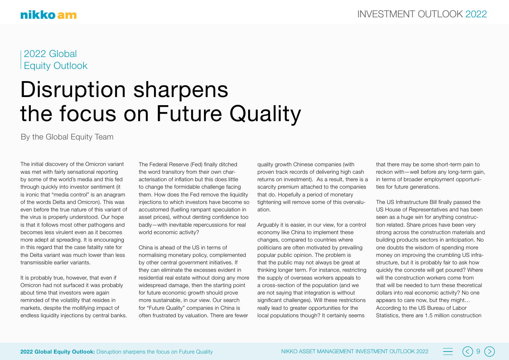## 2022 Global Equity Outlook

## Disruption sharpens the focus on Future Quality

By the Global Equity Team

The initial discovery of the Omicron variant was met with fairly sensational reporting by some of the world's media and this fed through quickly into investor sentiment (it is ironic that "media control" is an anagram of the words Delta and Omicron). This was even before the true nature of this variant of the virus is properly understood. Our hope is that it follows most other pathogens and becomes less virulent even as it becomes more adept at spreading. It is encouraging in this regard that the case fatality rate for the Delta variant was much lower than less transmissible earlier variants.

It is probably true, however, that even if Omicron had not surfaced it was probably about time that investors were again reminded of the volatility that resides in markets, despite the mollifying impact of endless liquidity injections by central banks. The Federal Reserve (Fed) finally ditched the word transitory from their own characterisation of inflation but this does little to change the formidable challenge facing them. How does the Fed remove the liquidity injections to which investors have become so accustomed (fuelling rampant speculation in asset prices), without denting confidence too badly—with inevitable repercussions for real world economic activity?

China is ahead of the US in terms of normalising monetary policy, complemented by other central government initiatives. If they can eliminate the excesses evident in residential real estate without doing any more widespread damage, then the starting point for future economic growth should prove more sustainable, in our view. Our search for "Future Quality" companies in China is often frustrated by valuation. There are fewer

quality growth Chinese companies (with proven track records of delivering high cash returns on investment). As a result, there is a scarcity premium attached to the companies that do. Hopefully a period of monetary tightening will remove some of this overvaluation.

Arguably it is easier, in our view, for a control economy like China to implement these changes, compared to countries where politicians are often motivated by prevailing popular public opinion. The problem is that the public may not always be great at thinking longer term. For instance, restricting the supply of overseas workers appeals to a cross-section of the population (and we are not saying that integration is without significant challenges). Will these restrictions really lead to greater opportunities for the local populations though? It certainly seems

that there may be some short-term pain to reckon with—well before any long-term gain, in terms of broader employment opportunities for future generations.

The US Infrastructure Bill finally passed the US House of Representatives and has been seen as a huge win for anything construction related. Share prices have been very strong across the construction materials and building products sectors in anticipation. No one doubts the wisdom of spending more money on improving the crumbling US infrastructure, but it is probably fair to ask how quickly the concrete will get poured? Where will the construction workers come from that will be needed to turn these theoretical dollars into real economic activity? No one appears to care now, but they might… According to the US Bureau of Labor Statistics, there are 1.5 million construction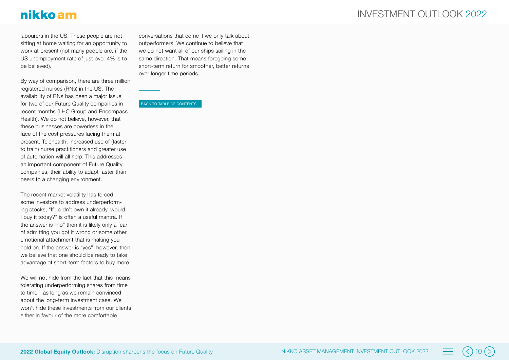## nikko am

labourers in the US. These people are not sitting at home waiting for an opportunity to work at present (not many people are, if the US unemployment rate of just over 4% is to be believed).

By way of comparison, there are three million registered nurses (RNs) in the US. The availability of RNs has been a major issue for two of our Future Quality companies in recent months (LHC Group and Encompass Health). We do not believe, however, that these businesses are powerless in the face of the cost pressures facing them at present. Telehealth, increased use of (faster to train) nurse practitioners and greater use of automation will all help. This addresses an important component of Future Quality companies, their ability to adapt faster than peers to a changing environment.

The recent market volatility has forced some investors to address underperform ing stocks, "If I didn't own it already, would I buy it today?" is often a useful mantra. If the answer is "no" then it is likely only a fear of admitting you got it wrong or some other emotional attachment that is making you hold on. If the answer is "yes", however, then we believe that one should be ready to take advantage of short-term factors to buy more.

We will not hide from the fact that this means tolerating underperforming shares from time to time—as long as we remain convinced about the long-term investment case. We won't hide these investments from our clients either in favour of the more comfortable

conversations that come if we only talk about outperformers. We continue to believe that we do not want all of our ships sailing in the same direction. That means foregoing some short-term return for smoother, better returns over longer time periods.

BACK TO TABLE OF CONTENTS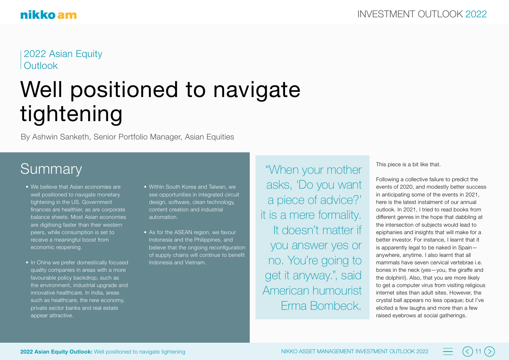2022 Asian Equity **Outlook** 

## Well positioned to navigate tightening

By Ashwin Sanketh, Senior Portfolio Manager, Asian Equities

## **Summary**

- We believe that Asian economies are well positioned to navigate monetary tightening in the US. Government finances are healthier, as are corporate balance sheets. Most Asian economies are digitising faster than their western peers, while consumption is set to receive a meaningful boost from economic reopening.
- In China we prefer domestically focused quality companies in areas with a more favourable policy backdrop, such as the environment, industrial upgrade and innovative healthcare. In India, areas such as healthcare, the new economy, private sector banks and real estate appear attractive.
- Within South Korea and Taiwan, we see opportunities in integrated circuit design, software, clean technology, content creation and industrial automation.
- As for the ASEAN region, we favour Indonesia and the Philippines, and believe that the ongoing reconfiguration of supply chains will continue to benefit Indonesia and Vietnam.

"When your mother asks, 'Do you want a piece of advice?' it is a mere formality. It doesn't matter if you answer yes or no. You're going to get it anyway.", said American humourist Erma Bombeck.

This piece is a bit like that.

Following a collective failure to predict the events of 2020, and modestly better success in anticipating some of the events in 2021, here is the latest instalment of our annual outlook. In 2021, I tried to read books from different genres in the hope that dabbling at the intersection of subjects would lead to epiphanies and insights that will make for a better investor. For instance, I learnt that it is apparently legal to be naked in Spain anywhere, anytime. I also learnt that all mammals have seven cervical vertebrae i.e. bones in the neck (yes—you, the giraffe and the dolphin!). Also, that you are more likely to get a computer virus from visiting religious internet sites than adult sites. However, the crystal ball appears no less opaque; but I've elicited a few laughs and more than a few raised eyebrows at social gatherings.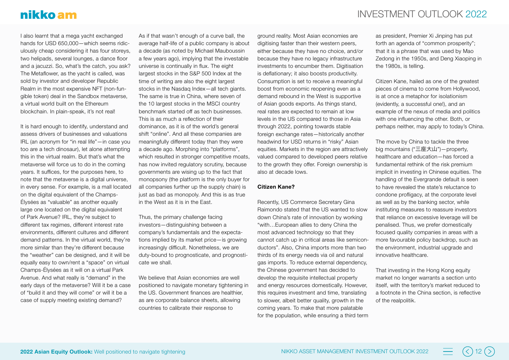## nikko am

I also learnt that a mega yacht exchanged hands for USD 650,000—which seems ridiculously cheap considering it has four storeys, two helipads, several lounges, a dance floor and a jacuzzi. So, what's the catch, you ask? The Metaflower, as the yacht is called, was sold by investor and developer Republic Realm in the most expensive NFT (non-fungible token) deal in the Sandbox metaverse, a virtual world built on the Ethereum blockchain. In plain-speak, it's not real!

It is hard enough to identify, understand and assess drivers of businesses and valuations IRL (an acronym for "in real life"—in case you too are a tech dinosaur), let alone attempting this in the virtual realm. But that's what the metaverse will force us to do in the coming years. It suffices, for the purposes here, to note that the metaverse is a digital universe, in every sense. For example, is a mall located on the digital equivalent of the Champs-Élysées as "valuable" as another equally large one located on the digital equivalent of Park Avenue? IRL, they're subject to different tax regimes, different interest rate environments, different cultures and different demand patterns. In the virtual world, they're more similar than they're different because the "weather" can be designed, and it will be equally easy to own/rent a "space" on virtual Champs-Élysées as it will on a virtual Park Avenue. And what really is "demand" in the early days of the metaverse? Will it be a case of "build it and they will come" or will it be a case of supply meeting existing demand?

As if that wasn't enough of a curve ball, the average half-life of a public company is about a decade (as noted by Michael Mauboussin a few years ago), implying that the investable universe is continually in flux. The eight largest stocks in the S&P 500 Index at the time of writing are also the eight largest stocks in the Nasdaq Index—all tech giants. The same is true in China, where seven of the 10 largest stocks in the MSCI country benchmark started off as tech businesses. This is as much a reflection of their dominance, as it is of the world's general shift "online". And all these companies are meaningfully different today than they were a decade ago. Morphing into "platforms", which resulted in stronger competitive moats, has now invited regulatory scrutiny, because governments are wising up to the fact that monopsony (the platform is the only buyer for all companies further up the supply chain) is just as bad as monopoly. And this is as true in the West as it is in the East.

Thus, the primary challenge facing investors—distinguishing between a company's fundamentals and the expectations implied by its market price—is growing increasingly difficult. Nonetheless, we are duty-bound to prognosticate, and prognosticate we shall.

We believe that Asian economies are well positioned to navigate monetary tightening in the US. Government finances are healthier, as are corporate balance sheets, allowing countries to calibrate their response to

ground reality. Most Asian economies are digitising faster than their western peers, either because they have no choice, and/or because they have no legacy infrastructure investments to encumber them. Digitisation is deflationary; it also boosts productivity. Consumption is set to receive a meaningful boost from economic reopening even as a demand rebound in the West is supportive of Asian goods exports. As things stand, real rates are expected to remain at low levels in the US compared to those in Asia through 2022, pointing towards stable foreign exchange rates—historically another headwind for USD returns in "risky" Asian equities. Markets in the region are attractively valued compared to developed peers relative to the growth they offer. Foreign ownership is also at decade lows.

#### **Citizen Kane?**

Recently, US Commerce Secretary Gina Raimondo stated that the US wanted to slow down China's rate of innovation by working "with…European allies to deny China the most advanced technology so that they cannot catch up in critical areas like semiconductors". Also, China imports more than two thirds of its energy needs via oil and natural gas imports. To reduce external dependency, the Chinese government has decided to develop the requisite intellectual property and energy resources domestically. However, this requires investment and time, translating to slower, albeit better quality, growth in the coming years. To make that more palatable for the population, while ensuring a third term

as president, Premier Xi Jinping has put forth an agenda of "common prosperity"; that it is a phrase that was used by Mao Zedong in the 1950s, and Deng Xiaoping in the 1980s, is telling.

Citizen Kane, hailed as one of the greatest pieces of cinema to come from Hollywood, is at once a metaphor for isolationism (evidently, a successful one!), and an example of the nexus of media and politics with one influencing the other. Both, or perhaps neither, may apply to today's China.

The move by China to tackle the three big mountains ("三座大山")—property, healthcare and education—has forced a fundamental rethink of the risk premium implicit in investing in Chinese equities. The handling of the Evergrande default is seen to have revealed the state's reluctance to condone profligacy, at the corporate level as well as by the banking sector, while instituting measures to reassure investors that reliance on excessive leverage will be penalised. Thus, we prefer domestically focused quality companies in areas with a more favourable policy backdrop, such as the environment, industrial upgrade and innovative healthcare.

That investing in the Hong Kong equity market no longer warrants a section unto itself, with the territory's market reduced to a footnote in the China section, is reflective of the realpolitik.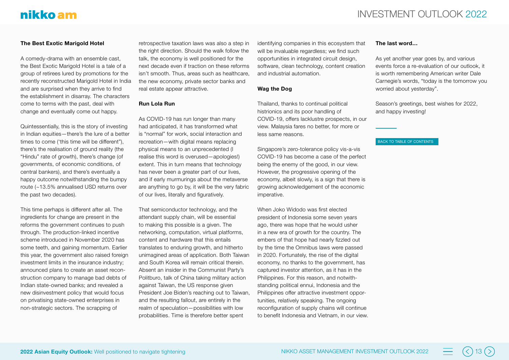## nikko am

#### **The Best Exotic Marigold Hotel**

A comedy-drama with an ensemble cast, the Best Exotic Marigold Hotel is a tale of a group of retirees lured by promotions for the recently reconstructed Marigold Hotel in India and are surprised when they arrive to find the establishment in disarray. The characters come to terms with the past, deal with change and eventually come out happy.

Quintessentially, this is the story of investing in Indian equities—there's the lure of a better times to come ('this time will be different"), there's the realisation of ground reality (the "Hindu" rate of growth), there's change (of governments, of economic conditions, of central bankers), and there's eventually a happy outcome notwithstanding the bumpy route (~13.5% annualised USD returns over the past two decades).

This time perhaps is different after all. The ingredients for change are present in the reforms the government continues to push through. The production-linked incentive scheme introduced in November 2020 has some teeth, and gaining momentum. Earlier this year, the government also raised foreign investment limits in the insurance industry; announced plans to create an asset reconstruction company to manage bad debts of Indian state-owned banks; and revealed a new disinvestment policy that would focus on privatising state-owned enterprises in non-strategic sectors. The scrapping of

retrospective taxation laws was also a step in the right direction. Should the walk follow the talk, the economy is well positioned for the next decade even if traction on these reforms isn't smooth. Thus, areas such as healthcare, the new economy, private sector banks and real estate appear attractive.

#### **Run Lola Run**

As COVID-19 has run longer than many had anticipated, it has transformed what is "normal" for work, social interaction and recreation—with digital means replacing physical means to an unprecedented (I realise this word is overused—apologies!) extent. This in turn means that technology has never been a greater part of our lives, and if early murmurings about the metaverse are anything to go by, it will be the very fabric of our lives, literally and figuratively.

That semiconductor technology, and the attendant supply chain, will be essential to making this possible is a given. The networking, computation, virtual platforms, content and hardware that this entails translates to enduring growth, and hitherto unimagined areas of application. Both Taiwan and South Korea will remain critical therein. Absent an insider in the Communist Party's Politburo, talk of China taking military action against Taiwan, the US response given President Joe Biden's reaching out to Taiwan, and the resulting fallout, are entirely in the realm of speculation—possibilities with low probabilities. Time is therefore better spent

identifying companies in this ecosystem that will be invaluable regardless; we find such opportunities in integrated circuit design, software, clean technology, content creation and industrial automation.

#### **Wag the Dog**

Thailand, thanks to continual political histrionics and its poor handling of COVID-19, offers lacklustre prospects, in our view. Malaysia fares no better, for more or less same reasons.

Singapore's zero-tolerance policy vis-a-vis COVID-19 has become a case of the perfect being the enemy of the good, in our view. However, the progressive opening of the economy, albeit slowly, is a sign that there is growing acknowledgement of the economic imperative.

When Joko Widodo was first elected president of Indonesia some seven years ago, there was hope that he would usher in a new era of growth for the country. The embers of that hope had nearly fizzled out by the time the Omnibus laws were passed in 2020. Fortunately, the rise of the digital economy, no thanks to the government, has captured investor attention, as it has in the Philippines. For this reason, and notwithstanding political ennui, Indonesia and the Philippines offer attractive investment opportunities, relatively speaking. The ongoing reconfiguration of supply chains will continue to benefit Indonesia and Vietnam, in our view.

#### **The last word…**

As yet another year goes by, and various events force a re-evaluation of our outlook, it is worth remembering American writer Dale Carnegie's words, "today is the tomorrow you worried about yesterday".

Season's greetings, best wishes for 2022, and happy investing!

#### BACK TO TABLE OF CONTENTS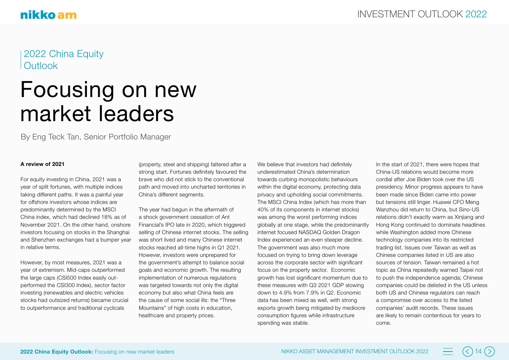### 2022 China Equity **Outlook**

## Focusing on new market leaders

By Eng Teck Tan, Senior Portfolio Manager

#### **A review of 2021**

For equity investing in China, 2021 was a year of split fortunes, with multiple indices taking different paths. It was a painful year for offshore investors whose indices are predominantly determined by the MSCI China index, which had declined 18% as of November 2021. On the other hand, onshore investors focusing on stocks in the Shanghai and Shenzhen exchanges had a bumper year in relative terms.

However, by most measures, 2021 was a year of extremism. Mid-caps outperformed the large caps (CSI500 Index easily outperformed the CSI300 Index), sector factor investing (renewables and electric vehicles stocks had outsized returns) became crucial to outperformance and traditional cyclicals

(property, steel and shipping) faltered after a strong start. Fortunes definitely favoured the brave who did not stick to the conventional path and moved into uncharted territories in China's different segments.

The year had begun in the aftermath of a shock government cessation of Ant Financial's IPO late in 2020, which triggered selling of Chinese internet stocks. The selling was short lived and many Chinese internet stocks reached all-time highs in Q1 2021. However, investors were unprepared for the government's attempt to balance social goals and economic growth. The resulting implementation of numerous regulations was targeted towards not only the digital economy but also what China feels are the cause of some social ills: the "Three Mountains" of high costs in education. healthcare and property prices.

We believe that investors had definitely underestimated China's determination towards curbing monopolistic behaviours within the digital economy, protecting data privacy and upholding social commitments. The MSCI China Index (which has more than 40% of its components in internet stocks) was among the worst performing indices globally at one stage, while the predominantly internet focused NASDAQ Golden Dragon Index experienced an even steeper decline. The government was also much more focused on trying to bring down leverage across the corporate sector with significant focus on the property sector. Economic growth has lost significant momentum due to these measures with Q3 2021 GDP slowing down to 4.9% from 7.9% in Q2. Economic data has been mixed as well, with strong exports growth being mitigated by mediocre consumption figures while infrastructure spending was stable.

In the start of 2021, there were hopes that China-US relations would become more cordial after Joe Biden took over the US presidency. Minor progress appears to have been made since Biden came into power but tensions still linger. Huawei CFO Meng Wanzhou did return to China, but Sino-US relations didn't exactly warm as Xinjiang and Hong Kong continued to dominate headlines while Washington added more Chinese technology companies into its restricted trading list. Issues over Taiwan as well as Chinese companies listed in US are also sources of tension. Taiwan remained a hot topic as China repeatedly warned Taipei not to push the independence agenda; Chinese companies could be delisted in the US unless both US and Chinese regulators can reach a compromise over access to the listed companies' audit records. These issues are likely to remain contentious for years to come.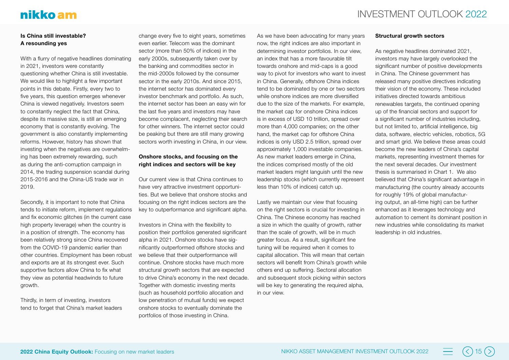#### **Is China still investable? A resounding yes**

With a flurry of negative headlines dominating in 2021, investors were constantly questioning whether China is still investable. We would like to highlight a few important points in this debate. Firstly, every two to five years, this question emerges whenever China is viewed negatively. Investors seem to constantly neglect the fact that China, despite its massive size, is still an emerging economy that is constantly evolving. The government is also constantly implementing reforms. However, history has shown that investing when the negatives are overwhelming has been extremely rewarding, such as during the anti-corruption campaign in 2014, the trading suspension scandal during 2015-2016 and the China-US trade war in 2019.

Secondly, it is important to note that China tends to initiate reform, implement regulations and fix economic glitches (in the current case high property leverage) when the country is in a position of strength. The economy has been relatively strong since China recovered from the COVID-19 pandemic earlier than other countries. Employment has been robust and exports are at its strongest ever. Such supportive factors allow China to fix what they view as potential headwinds to future growth.

Thirdly, in term of investing, investors tend to forget that China's market leaders

change every five to eight years, sometimes even earlier. Telecom was the dominant sector (more than 50% of indices) in the early 2000s, subsequently taken over by the banking and commodities sector in the mid-2000s followed by the consumer sector in the early 2010s. And since 2015, the internet sector has dominated every investor benchmark and portfolio. As such, the internet sector has been an easy win for the last five years and investors may have become complacent, neglecting their search for other winners. The internet sector could be peaking but there are still many growing sectors worth investing in China, in our view.

#### **Onshore stocks, and focusing on the right indices and sectors will be key**

Our current view is that China continues to have very attractive investment opportunities. But we believe that onshore stocks and focusing on the right indices sectors are the key to outperformance and significant alpha.

Investors in China with the flexibility to position their portfolios generated significant alpha in 2021. Onshore stocks have significantly outperformed offshore stocks and we believe that their outperformance will continue. Onshore stocks have much more structural growth sectors that are expected to drive China's economy in the next decade. Together with domestic investing merits (such as household portfolio allocation and low penetration of mutual funds) we expect onshore stocks to eventually dominate the portfolios of those investing in China.

As we have been advocating for many years now, the right indices are also important in determining investor portfolios. In our view, an index that has a more favourable tilt towards onshore and mid-caps is a good way to pivot for investors who want to invest in China. Generally, offshore China indices tend to be dominated by one or two sectors while onshore indices are more diversified due to the size of the markets. For example, the market cap for onshore China indices is in excess of USD 10 trillion, spread over more than 4,000 companies; on the other hand, the market cap for offshore China indices is only USD 2.5 trillion, spread over approximately 1,000 investable companies. As new market leaders emerge in China, the indices comprised mostly of the old market leaders might languish until the new leadership stocks (which currently represent less than 10% of indices) catch up.

Lastly we maintain our view that focusing on the right sectors is crucial for investing in China. The Chinese economy has reached a size in which the quality of growth, rather than the scale of growth, will be in much greater focus. As a result, significant fine tuning will be required when it comes to capital allocation. This will mean that certain sectors will benefit from China's growth while others end up suffering. Sectoral allocation and subsequent stock picking within sectors will be key to generating the required alpha, in our view.

#### **Structural growth sectors**

As negative headlines dominated 2021, investors may have largely overlooked the significant number of positive developments in China. The Chinese government has released many positive directives indicating their vision of the economy. These included initiatives directed towards ambitious renewables targets, the continued opening up of the financial sectors and support for a significant number of industries including, but not limited to, artificial intelligence, big data, software, electric vehicles, robotics, 5G and smart grid. We believe these areas could become the new leaders of China's capital markets, representing investment themes for the next several decades. Our investment thesis is summarised in Chart 1. We also believed that China's significant advantage in manufacturing (the country already accounts for roughly 19% of global manufacturing output, an all-time high) can be further enhanced as it leverages technology and automation to cement its dominant position in new industries while consolidating its market leadership in old industries.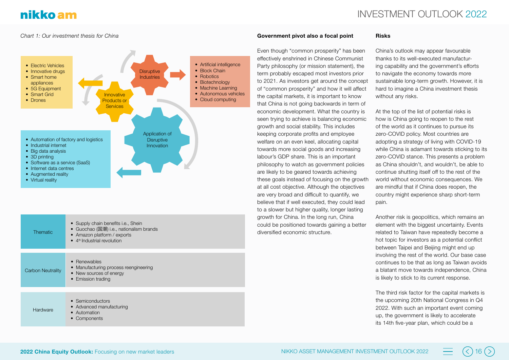#### *Chart 1: Our investment thesis for China*



- Guochao (国潮) i.e., nationalism brands
- Amazon platform / exports **Thematic** 
	- $\bullet$  4<sup>th</sup> Industrial revolution
	- Renewables
- Manufacturing process reengineering • New sources of energy Carbon Neutrality
	- Emission trading
	-
	- Semiconductors
	- Advanced manufacturing
		- Automation

Hardware

• Components

#### **Government pivot also a focal point**

Even though "common prosperity" has been effectively enshrined in Chinese Communist Party philosophy (or mission statement), the term probably escaped most investors prior to 2021. As investors get around the concept of "common prosperity" and how it will affect the capital markets, it is important to know that China is not going backwards in term of economic development. What the country is seen trying to achieve is balancing economic growth and social stability. This includes keeping corporate profits and employee welfare on an even keel, allocating capital towards more social goods and increasing labour's GDP share. This is an important philosophy to watch as government policies are likely to be geared towards achieving these goals instead of focusing on the growth at all cost objective. Although the objectives are very broad and difficult to quantify, we believe that if well executed, they could lead to a slower but higher quality, longer lasting growth for China. In the long run, China could be positioned towards gaining a better diversified economic structure.

#### **Risks**

China's outlook may appear favourable thanks to its well-executed manufacturing capability and the government's efforts to navigate the economy towards more sustainable long-term growth. However, it is hard to imagine a China investment thesis without any risks.

At the top of the list of potential risks is how is China going to reopen to the rest of the world as it continues to pursue its zero-COVID policy. Most countries are adopting a strategy of living with COVID-19 while China is adamant towards sticking to its zero-COVID stance. This presents a problem as China shouldn't, and wouldn't, be able to continue shutting itself off to the rest of the world without economic consequences. We are mindful that if China does reopen, the country might experience sharp short-term pain.

Another risk is geopolitics, which remains an element with the biggest uncertainty. Events related to Taiwan have repeatedly become a hot topic for investors as a potential conflict between Taipei and Beijing might end up involving the rest of the world. Our base case continues to be that as long as Taiwan avoids a blatant move towards independence, China is likely to stick to its current response.

The third risk factor for the capital markets is the upcoming 20th National Congress in Q4 2022. With such an important event coming up, the government is likely to accelerate its 14th five-year plan, which could be a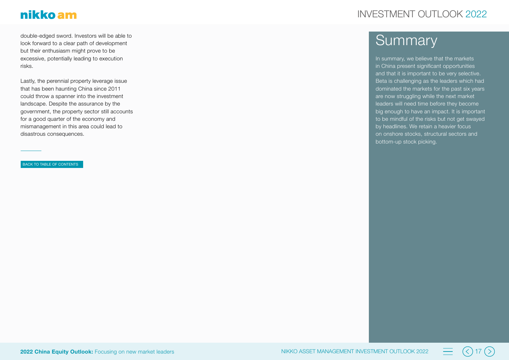double-edged sword. Investors will be able to look forward to a clear path of development but their enthusiasm might prove to be excessive, potentially leading to execution risks.

Lastly, the perennial property leverage issue that has been haunting China since 2011 could throw a spanner into the investment landscape. Despite the assurance by the government, the property sector still accounts for a good quarter of the economy and mismanagement in this area could lead to disastrous consequences.

BACK TO TABLE OF CONTENTS

## INVESTMENT OUTLOOK 2022

## **Summary**

In summary, we believe that the markets in China present significant opportunities and that it is important to be very selective. Beta is challenging as the leaders which had dominated the markets for the past six years are now struggling while the next market leaders will need time before they become big enough to have an impact. It is important to be mindful of the risks but not get swayed by headlines. We retain a heavier focus on onshore stocks, structural sectors and bottom-up stock picking.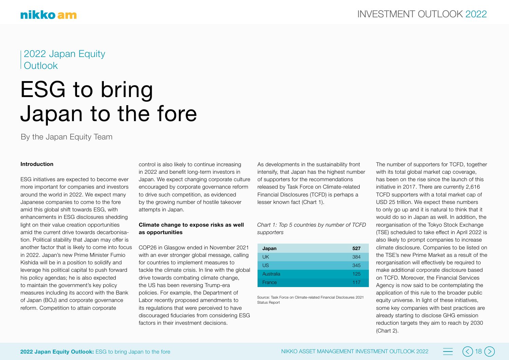### 2022 Japan Equity **Outlook**

## ESG to bring Japan to the fore

By the Japan Equity Team

#### **Introduction**

ESG initiatives are expected to become ever more important for companies and investors around the world in 2022. We expect many Japanese companies to come to the fore amid this global shift towards ESG, with enhancements in ESG disclosures shedding light on their value creation opportunities amid the current drive towards decarbonisation. Political stability that Japan may offer is another factor that is likely to come into focus in 2022. Japan's new Prime Minister Fumio Kishida will be in a position to solidify and leverage his political capital to push forward his policy agendas; he is also expected to maintain the government's key policy measures including its accord with the Bank of Japan (BOJ) and corporate governance reform. Competition to attain corporate

control is also likely to continue increasing in 2022 and benefit long-term investors in Japan. We expect changing corporate culture encouraged by corporate governance reform to drive such competition, as evidenced by the growing number of hostile takeover attempts in Japan.

#### **Climate change to expose risks as well as opportunities**

COP26 in Glasgow ended in November 2021 with an ever stronger global message, calling for countries to implement measures to tackle the climate crisis. In line with the global drive towards combating climate change, the US has been reversing Trump-era policies. For example, the Department of Labor recently proposed amendments to its regulations that were perceived to have discouraged fiduciaries from considering ESG factors in their investment decisions.

As developments in the sustainability front intensify, that Japan has the highest number of supporters for the recommendations released by Task Force on Climate-related Financial Disclosures (TCFD) is perhaps a lesser known fact (Chart 1).

*Chart 1: Top 5 countries by number of TCFD supporters*

| Japan     | 527 |
|-----------|-----|
| <b>UK</b> | 384 |
| <b>US</b> | 345 |
| Australia | 125 |
| France    | 117 |

Source: Task Force on Climate-related Financial Disclosures 2021 Status Report

The number of supporters for TCFD, together with its total global market cap coverage, has been on the rise since the launch of this initiative in 2017. There are currently 2,616 TCFD supporters with a total market cap of USD 25 trillion. We expect these numbers to only go up and it is natural to think that it would do so in Japan as well. In addition, the reorganisation of the Tokyo Stock Exchange (TSE) scheduled to take effect in April 2022 is also likely to prompt companies to increase climate disclosure. Companies to be listed on the TSE's new Prime Market as a result of the reorganisation will effectively be required to make additional corporate disclosure based on TCFD. Moreover, the Financial Services Agency is now said to be contemplating the application of this rule to the broader public equity universe. In light of these initiatives, some key companies with best practices are already starting to disclose GHG emission reduction targets they aim to reach by 2030 (Chart 2).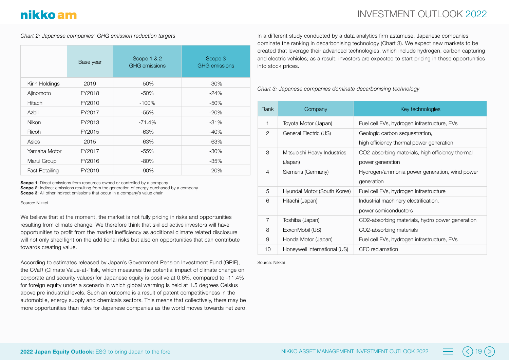## nikko am

#### *Chart 2: Japanese companies' GHG emission reduction targets*

|                       | Base year | Scope 1 & 2<br><b>GHG</b> emissions | Scope 3<br><b>GHG</b> emissions |
|-----------------------|-----------|-------------------------------------|---------------------------------|
| Kirin Holdings        | 2019      | $-50\%$                             | $-30\%$                         |
| Ajinomoto             | FY2018    | $-50\%$                             | $-24%$                          |
| Hitachi               | FY2010    | $-100\%$                            | $-50\%$                         |
| Azbil                 | FY2017    | -55%                                | $-20%$                          |
| Nikon                 | FY2013    | $-71.4%$                            | $-31%$                          |
| Ricoh                 | FY2015    | $-63%$                              | $-40%$                          |
| Asics                 | 2015      | $-63%$                              | $-63%$                          |
| Yamaha Motor          | FY2017    | $-55%$                              | $-30\%$                         |
| Marui Group           | FY2016    | $-80\%$                             | $-35%$                          |
| <b>Fast Retailing</b> | FY2019    | $-90%$                              | $-20%$                          |

**Scope 1:** Direct emissions from resources owned or controlled by a company **Scope 2:** Indirect emissions resulting from the generation of energy purchased by a company **Scope 3:** All other indirect emissions that occur in a company's value chain

Source: Nikkei

We believe that at the moment, the market is not fully pricing in risks and opportunities resulting from climate change. We therefore think that skilled active investors will have opportunities to profit from the market inefficiency as additional climate related disclosure will not only shed light on the additional risks but also on opportunities that can contribute towards creating value.

According to estimates released by Japan's Government Pension Investment Fund (GPIF), the CVaR (Climate Value-at-Risk, which measures the potential impact of climate change on corporate and security values) for Japanese equity is positive at 0.6%, compared to -11.4% for foreign equity under a scenario in which global warming is held at 1.5 degrees Celsius above pre-industrial levels. Such an outcome is a result of patent competitiveness in the automobile, energy supply and chemicals sectors. This means that collectively, there may be more opportunities than risks for Japanese companies as the world moves towards net zero.

In a different study conducted by a data analytics firm astamuse, Japanese companies dominate the ranking in decarbonising technology (Chart 3). We expect new markets to be created that leverage their advanced technologies, which include hydrogen, carbon capturing and electric vehicles; as a result, investors are expected to start pricing in these opportunities into stock prices.

*Chart 3: Japanese companies dominate decarbonising technology*

| Rank           | Company                                | Key technologies                                                           |
|----------------|----------------------------------------|----------------------------------------------------------------------------|
| 1              | Toyota Motor (Japan)                   | Fuel cell EVs, hydrogen infrastructure, EVs                                |
| 2              | General Electric (US)                  | Geologic carbon sequestration,<br>high efficiency thermal power generation |
| 3              | Mitsubishi Heavy Industries<br>(Japan) | CO2-absorbing materials, high efficiency thermal<br>power generation       |
| 4              | Siemens (Germany)                      | Hydrogen/ammonia power generation, wind power<br>generation                |
| 5              | Hyundai Motor (South Korea)            | Fuel cell EVs, hydrogen infrastructure                                     |
| 6              | Hitachi (Japan)                        | Industrial machinery electrification,<br>power semiconductors              |
| $\overline{7}$ | Toshiba (Japan)                        | CO2-absorbing materials, hydro power generation                            |
| 8              | ExxonMobil (US)                        | CO2-absorbing materials                                                    |
| 9              | Honda Motor (Japan)                    | Fuel cell EVs, hydrogen infrastructure, EVs                                |
| 10             | Honeywell International (US)           | CFC reclamation                                                            |

Source: Nikkei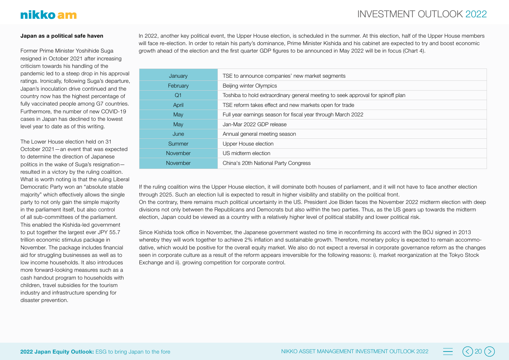## nikko am

#### **Japan as a political safe haven**

Former Prime Minister Yoshihide Suga resigned in October 2021 after increasing criticism towards his handling of the pandemic led to a steep drop in his approval ratings. Ironically, following Suga's departure, Japan's inoculation drive continued and the country now has the highest percentage of fully vaccinated people among G7 countries. Furthermore, the number of new COVID-19 cases in Japan has declined to the lowest level year to date as of this writing.

The Lower House election held on 31 October 2021—an event that was expected to determine the direction of Japanese politics in the wake of Suga's resignation resulted in a victory by the ruling coalition. What is worth noting is that the ruling Liberal Democratic Party won an "absolute stable majority" which effectively allows the single party to not only gain the simple majority in the parliament itself, but also control of all sub-committees of the parliament. This enabled the Kishida-led government to put together the largest ever JPY 55.7 trillion economic stimulus package in November. The package includes financial aid for struggling businesses as well as to low income households. It also introduces more forward-looking measures such as a cash handout program to households with children, travel subsidies for the tourism industry and infrastructure spending for disaster prevention.

In 2022, another key political event, the Upper House election, is scheduled in the summer. At this election, half of the Upper House members will face re-election. In order to retain his party's dominance, Prime Minister Kishida and his cabinet are expected to try and boost economic growth ahead of the election and the first quarter GDP figures to be announced in May 2022 will be in focus (Chart 4).

| January        | TSE to announce companies' new market segments                                  |
|----------------|---------------------------------------------------------------------------------|
| February       | Beijing winter Olympics                                                         |
| Q <sub>1</sub> | Toshiba to hold extraordinary general meeting to seek approval for spinoff plan |
| April          | TSE reform takes effect and new markets open for trade                          |
| May            | Full year earnings season for fiscal year through March 2022                    |
| May            | Jan-Mar 2022 GDP release                                                        |
| June           | Annual general meeting season                                                   |
| Summer         | Upper House election                                                            |
| November       | US midterm election                                                             |
| November       | China's 20th National Party Congress                                            |

If the ruling coalition wins the Upper House election, it will dominate both houses of parliament, and it will not have to face another election through 2025. Such an election lull is expected to result in higher visibility and stability on the political front. On the contrary, there remains much political uncertainty in the US. President Joe Biden faces the November 2022 midterm election with deep divisions not only between the Republicans and Democrats but also within the two parties. Thus, as the US gears up towards the midterm election, Japan could be viewed as a country with a relatively higher level of political stability and lower political risk.

Since Kishida took office in November, the Japanese government wasted no time in reconfirming its accord with the BOJ signed in 2013 whereby they will work together to achieve 2% inflation and sustainable growth. Therefore, monetary policy is expected to remain accommodative, which would be positive for the overall equity market. We also do not expect a reversal in corporate governance reform as the changes seen in corporate culture as a result of the reform appears irreversible for the following reasons: i). market reorganization at the Tokyo Stock Exchange and ii). growing competition for corporate control.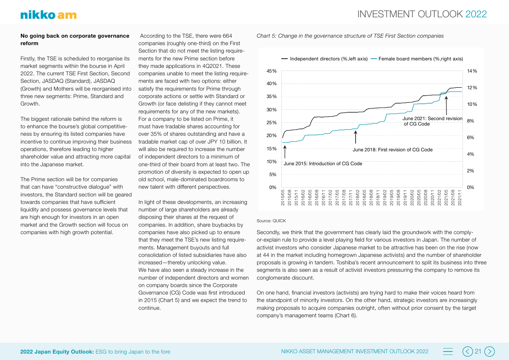#### **No going back on corporate governance reform**

Firstly, the TSE is scheduled to reorganise its market segments within the bourse in April 2022. The current TSE First Section, Second Section, JASDAQ (Standard), JASDAQ (Growth) and Mothers will be reorganised into three new segments: Prime, Standard and Growth.

The biggest rationale behind the reform is to enhance the bourse's global competitiveness by ensuring its listed companies have incentive to continue improving their business operations, therefore leading to higher shareholder value and attracting more capital into the Japanese market.

The Prime section will be for companies that can have "constructive dialogue" with investors, the Standard section will be geared towards companies that have sufficient liquidity and possess governance levels that are high enough for investors in an open market and the Growth section will focus on companies with high growth potential.

 According to the TSE, there were 664 companies (roughly one-third) on the First Section that do not meet the listing requirements for the new Prime section before they made applications in 4Q2021. These companies unable to meet the listing requirements are faced with two options: either satisfy the requirements for Prime through corporate actions or settle with Standard or Growth (or face delisting if they cannot meet requirements for any of the new markets). For a company to be listed on Prime, it must have tradable shares accounting for over 35% of shares outstanding and have a tradable market cap of over JPY 10 billion. It will also be required to increase the number of independent directors to a minimum of one-third of their board from at least two. The promotion of diversity is expected to open up old school, male-dominated boardrooms to new talent with different perspectives.

In light of these developments, an increasing number of large shareholders are already disposing their shares at the request of companies. In addition, share buybacks by companies have also picked up to ensure that they meet the TSE's new listing requirements. Management buyouts and full consolidation of listed subsidiaries have also increased—thereby unlocking value. We have also seen a steady increase in the number of independent directors and women on company boards since the Corporate Governance (CG) Code was first introduced in 2015 (Chart 5) and we expect the trend to continue.



#### Source: QUICK

Secondly, we think that the government has clearly laid the groundwork with the complyor-explain rule to provide a level playing field for various investors in Japan. The number of activist investors who consider Japanese market to be attractive has been on the rise (now at 44 in the market including homegrown Japanese activists) and the number of shareholder proposals is growing in tandem. Toshiba's recent announcement to split its business into three segments is also seen as a result of activist investors pressuring the company to remove its conglomerate discount.

On one hand, financial investors (activists) are trying hard to make their voices heard from the standpoint of minority investors. On the other hand, strategic investors are increasingly making proposals to acquire companies outright, often without prior consent by the target company's management teams (Chart 6).

*Chart 5: Change in the governance structure of TSE First Section companies*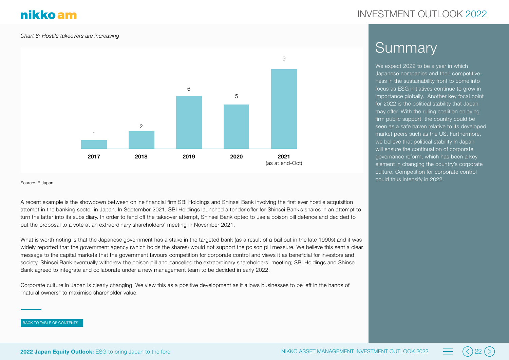#### *Chart 6: Hostile takeovers are increasing*



#### Source: IR Japan

A recent example is the showdown between online financial firm SBI Holdings and Shinsei Bank involving the first ever hostile acquisition attempt in the banking sector in Japan. In September 2021, SBI Holdings launched a tender offer for Shinsei Bank's shares in an attempt to turn the latter into its subsidiary. In order to fend off the takeover attempt, Shinsei Bank opted to use a poison pill defence and decided to put the proposal to a vote at an extraordinary shareholders' meeting in November 2021.

What is worth noting is that the Japanese government has a stake in the targeted bank (as a result of a bail out in the late 1990s) and it was widely reported that the government agency (which holds the shares) would not support the poison pill measure. We believe this sent a clear message to the capital markets that the government favours competition for corporate control and views it as beneficial for investors and society. Shinsei Bank eventually withdrew the poison pill and cancelled the extraordinary shareholders' meeting; SBI Holdings and Shinsei Bank agreed to integrate and collaborate under a new management team to be decided in early 2022.

Corporate culture in Japan is clearly changing. We view this as a positive development as it allows businesses to be left in the hands of "natural owners" to maximise shareholder value.

#### BACK TO TABLE OF CONTENTS

### INVESTMENT OUTLOOK 2022

## Summary

We expect 2022 to be a year in which Japanese companies and their competitiveness in the sustainability front to come into focus as ESG initiatives continue to grow in importance globally. Another key focal point for 2022 is the political stability that Japan may offer. With the ruling coalition enjoying firm public support, the country could be seen as a safe haven relative to its developed market peers such as the US. Furthermore, we believe that political stability in Japan will ensure the continuation of corporate governance reform, which has been a key element in changing the country's corporate culture. Competition for corporate control could thus intensify in 2022.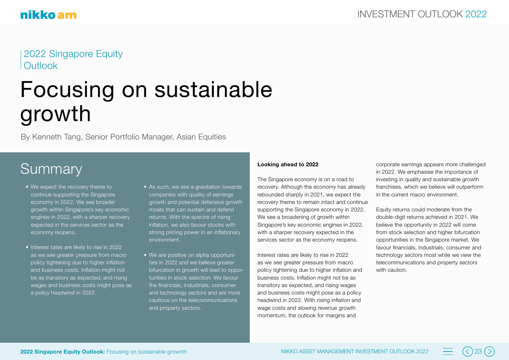2022 Singapore Equity **Outlook** 

## Focusing on sustainable growth

By Kenneth Tang, Senior Portfolio Manager, Asian Equities

## **Summary**

- We expect the recovery theme to continue supporting the Singapore economy in 2022. We see broader growth within Singapore's key economic engines in 2022, with a sharper recovery expected in the services sector as the economy reopens.
- Interest rates are likely to rise in 2022 as we see greater pressure from macro policy tightening due to higher inflation and business costs. Inflation might not be as transitory as expected, and rising wages and business costs might pose as a policy headwind in 2022.
- As such, we see a gravitation towards companies with quality of earnings growth and potential defensive growth moats that can sustain and defend returns. With the spectre of rising inflation, we also favour stocks with strong pricing power in an inflationary environment.
- We are positive on alpha opportunities in 2022 and we believe greater bifurcation in growth will lead to opportunities in stock selection. We favour the financials, industrials, consumer and technology sectors and are more cautious on the telecommunications and property sectors.

#### **Looking ahead to 2022**

The Singapore economy is on a road to recovery. Although the economy has already rebounded sharply in 2021, we expect the recovery theme to remain intact and continue supporting the Singapore economy in 2022. We see a broadening of growth within Singapore's key economic engines in 2022, with a sharper recovery expected in the services sector as the economy reopens.

Interest rates are likely to rise in 2022 as we see greater pressure from macro policy tightening due to higher inflation and business costs. Inflation might not be as transitory as expected, and rising wages and business costs might pose as a policy headwind in 2022. With rising inflation and wage costs and slowing revenue growth momentum, the outlook for margins and

corporate earnings appears more challenged in 2022. We emphasise the importance of investing in quality and sustainable growth franchises, which we believe will outperform in the current macro environment.

Equity returns could moderate from the double-digit returns achieved in 2021. We believe the opportunity in 2022 will come from stock selection and higher bifurcation opportunities in the Singapore market. We favour financials, industrials, consumer and technology sectors most while we view the telecommunications and property sectors with caution.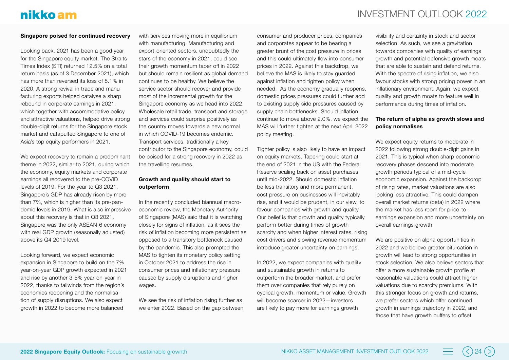## INVESTMENT OUTLOOK 2022

#### **Singapore poised for continued recovery**

Looking back, 2021 has been a good year for the Singapore equity market. The Straits Times Index (STI) returned 12.5% on a total return basis (as of 3 December 2021), which has more than reversed its loss of 8.1% in 2020. A strong revival in trade and manufacturing exports helped catalyse a sharp rebound in corporate earnings in 2021, which together with accommodative policy and attractive valuations, helped drive strong double-digit returns for the Singapore stock market and catapulted Singapore to one of Asia's top equity performers in 2021.

We expect recovery to remain a predominant theme in 2022, similar to 2021, during which the economy, equity markets and corporate earnings all recovered to the pre-COVID levels of 2019. For the year to Q3 2021, Singapore's GDP has already risen by more than 7%, which is higher than its pre-pandemic levels in 2019. What is also impressive about this recovery is that in Q3 2021, Singapore was the only ASEAN-6 economy with real GDP growth (seasonally adjusted) above its Q4 2019 level.

Looking forward, we expect economic expansion in Singapore to build on the 7% year-on-year GDP growth expected in 2021 and rise by another 3-5% year-on-year in 2022, thanks to tailwinds from the region's economies reopening and the normalisation of supply disruptions. We also expect growth in 2022 to become more balanced

with services moving more in equilibrium with manufacturing. Manufacturing and export-oriented sectors, undoubtedly the stars of the economy in 2021, could see their growth momentum taper off in 2022 but should remain resilient as global demand continues to be healthy. We believe the service sector should recover and provide most of the incremental growth for the Singapore economy as we head into 2022. Wholesale retail trade, transport and storage and services could surprise positively as the country moves towards a new normal in which COVID-19 becomes endemic. Transport services, traditionally a key contributor to the Singapore economy, could be poised for a strong recovery in 2022 as the travelling resumes.

#### **Growth and quality should start to outperform**

In the recently concluded biannual macroeconomic review, the Monetary Authority of Singapore (MAS) said that it is watching closely for signs of inflation, as it sees the risk of inflation becoming more persistent as opposed to a transitory bottleneck caused by the pandemic. This also prompted the MAS to tighten its monetary policy setting in October 2021 to address the rise in consumer prices and inflationary pressure caused by supply disruptions and higher wages.

We see the risk of inflation rising further as we enter 2022. Based on the gap between consumer and producer prices, companies and corporates appear to be bearing a greater brunt of the cost pressure in prices and this could ultimately flow into consumer prices in 2022. Against this backdrop, we believe the MAS is likely to stay guarded against inflation and tighten policy when needed. As the economy gradually reopens, domestic prices pressures could further add to existing supply side pressures caused by supply chain bottlenecks. Should inflation continue to move above 2.0%, we expect the MAS will further tighten at the next April 2022 policy meeting.

Tighter policy is also likely to have an impact on equity markets. Tapering could start at the end of 2021 in the US with the Federal Reserve scaling back on asset purchases until mid-2022. Should domestic inflation be less transitory and more permanent, cost pressure on businesses will inevitably rise, and it would be prudent, in our view, to favour companies with growth and quality. Our belief is that growth and quality typically perform better during times of growth scarcity and when higher interest rates, rising cost drivers and slowing revenue momentum introduce greater uncertainty on earnings.

In 2022, we expect companies with quality and sustainable growth in returns to outperform the broader market, and prefer them over companies that rely purely on cyclical growth, momentum or value. Growth will become scarcer in 2022—investors are likely to pay more for earnings growth

visibility and certainty in stock and sector selection. As such, we see a gravitation towards companies with quality of earnings growth and potential defensive growth moats that are able to sustain and defend returns. With the spectre of rising inflation, we also favour stocks with strong pricing power in an inflationary environment. Again, we expect quality and growth moats to feature well in performance during times of inflation.

#### **The return of alpha as growth slows and policy normalises**

We expect equity returns to moderate in 2022 following strong double-digit gains in 2021. This is typical when sharp economic recovery phases descend into moderate growth periods typical of a mid-cycle economic expansion. Against the backdrop of rising rates, market valuations are also looking less attractive. This could dampen overall market returns (beta) in 2022 where the market has less room for price-toearnings expansion and more uncertainty on overall earnings growth.

We are positive on alpha opportunities in 2022 and we believe greater bifurcation in growth will lead to strong opportunities in stock selection. We also believe sectors that offer a more sustainable growth profile at reasonable valuations could attract higher valuations due to scarcity premiums. With this stronger focus on growth and returns, we prefer sectors which offer continued growth in earnings trajectory in 2022, and those that have growth buffers to offset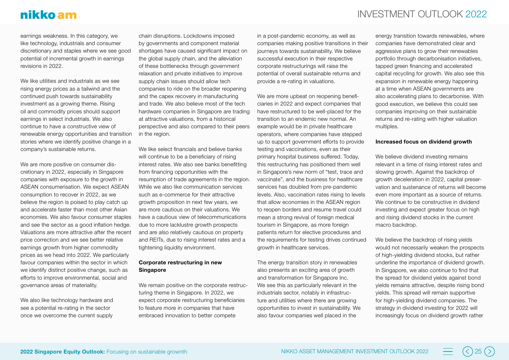## nikko am

earnings weakness. In this category, we like technology, industrials and consumer discretionary and staples where we see good potential of incremental growth in earnings revisions in 2022.

We like utilities and industrials as we see rising energy prices as a tailwind and the continued push towards sustainability investment as a growing theme. Rising oil and commodity prices should support earnings in select industrials. We also continue to have a constructive view of renewable energy opportunities and transition stories where we identify positive change in a company's sustainable returns.

We are more positive on consumer discretionary in 2022, especially in Singapore companies with exposure to the growth in ASEAN consumerisation. We expect ASEAN consumption to recover in 2022, as we believe the region is poised to play catch up and accelerate faster than most other Asian economies. We also favour consumer staples and see the sector as a good inflation hedge. Valuations are more attractive after the recent price correction and we see better relative earnings growth from higher commodity prices as we head into 2022. We particularly favour companies within the sector in which we identify distinct positive change, such as efforts to improve environmental, social and governance areas of materiality.

We also like technology hardware and see a potential re-rating in the sector once we overcome the current supply

chain disruptions. Lockdowns imposed by governments and component material shortages have caused significant impact on the global supply chain, and the alleviation of these bottlenecks through government relaxation and private initiatives to improve supply chain issues should allow tech companies to ride on the broader reopening and the capex recovery in manufacturing and trade. We also believe most of the tech hardware companies in Singapore are trading at attractive valuations, from a historical perspective and also compared to their peers in the region.

We like select financials and believe banks will continue to be a beneficiary of rising interest rates. We also see banks benefitting from financing opportunities with the resumption of trade agreements in the region. While we also like communication services such as e-commerce for their attractive growth proposition in next few years, we are more cautious on their valuations. We have a cautious view of telecommunications due to more lacklustre growth prospects and are also relatively cautious on property and REITs, due to rising interest rates and a tightening liquidity environment.

#### **Corporate restructuring in new Singapore**

We remain positive on the corporate restructuring theme in Singapore. In 2022, we expect corporate restructuring beneficiaries to feature more in companies that have embraced innovation to better compete

in a post-pandemic economy, as well as companies making positive transitions in their journeys towards sustainability. We believe successful execution in their respective corporate restructurings will raise the potential of overall sustainable returns and provide a re-rating in valuations.

We are more upbeat on reopening beneficiaries in 2022 and expect companies that have restructured to be well-placed for the transition to an endemic new normal. An example would be in private healthcare operators, where companies have stepped up to support government efforts to provide testing and vaccinations, even as their primary hospital business suffered. Today, this restructuring has positioned them well in Singapore's new norm of "test, trace and vaccinate", and the business for healthcare services has doubled from pre-pandemic levels. Also, vaccination rates rising to levels that allow economies in the ASEAN region to reopen borders and resume travel could mean a strong revival of foreign medical tourism in Singapore, as more foreign patients return for elective procedures and the requirements for testing drives continued growth in healthcare services.

The energy transition story in renewables also presents an exciting area of growth and transformation for Singapore Inc. We see this as particularly relevant in the industrials sector, notably in infrastructure and utilities where there are growing opportunities to invest in sustainability. We also favour companies well placed in the

energy transition towards renewables, where companies have demonstrated clear and aggressive plans to grow their renewables portfolio through decarbonisation initiatives, tapped green financing and accelerated capital recycling for growth. We also see this expansion in renewable energy happening at a time when ASEAN governments are also accelerating plans to decarbonise. With good execution, we believe this could see companies improving on their sustainable returns and re-rating with higher valuation multiples.

#### **Increased focus on dividend growth**

We believe dividend investing remains relevant in a time of rising interest rates and slowing growth. Against the backdrop of growth deceleration in 2022, capital preservation and sustenance of returns will become even more important as a source of returns. We continue to be constructive in dividend investing and expect greater focus on high and rising dividend stocks in the current macro backdrop.

We believe the backdrop of rising yields would not necessarily weaken the prospects of high-yielding dividend stocks, but rather underline the importance of dividend growth. In Singapore, we also continue to find that the spread for dividend yields against bond yields remains attractive, despite rising bond yields. This spread will remain supportive for high-yielding dividend companies. The strategy in dividend investing for 2022 will increasingly focus on dividend growth rather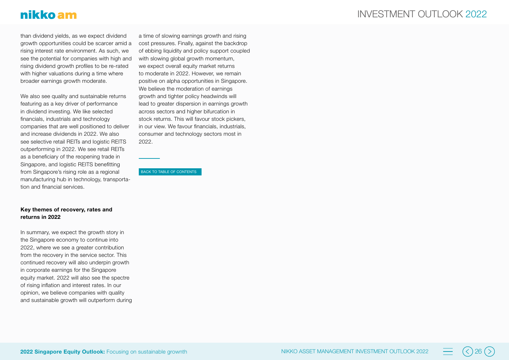## nikko am

than dividend yields, as we expect dividend growth opportunities could be scarcer amid a rising interest rate environment. As such, we see the potential for companies with high and rising dividend growth profiles to be re-rated with higher valuations during a time where broader earnings growth moderate.

We also see quality and sustainable returns featuring as a key driver of performance in dividend investing. We like selected financials, industrials and technology companies that are well positioned to deliver and increase dividends in 2022. We also see selective retail REITs and logistic REITS outperforming in 2022. We see retail REITs as a beneficiary of the reopening trade in Singapore, and logistic REITS benefitting from Singapore's rising role as a regional manufacturing hub in technology, transporta tion and financial services.

a time of slowing earnings growth and rising cost pressures. Finally, against the backdrop of ebbing liquidity and policy support coupled with slowing global growth momentum, we expect overall equity market returns to moderate in 2022. However, we remain positive on alpha opportunities in Singapore. We believe the moderation of earnings growth and tighter policy headwinds will lead to greater dispersion in earnings growth across sectors and higher bifurcation in stock returns. This will favour stock pickers, in our view. We favour financials, industrials, consumer and technology sectors most in 2022.

BACK TO TABLE OF CONTENTS

#### **Key themes of recovery, rates and returns in 2022**

In summary, we expect the growth story in the Singapore economy to continue into 2022, where we see a greater contribution from the recovery in the service sector. This continued recovery will also underpin growth in corporate earnings for the Singapore equity market. 2022 will also see the spectre of rising inflation and interest rates. In our opinion, we believe companies with quality and sustainable growth will outperform during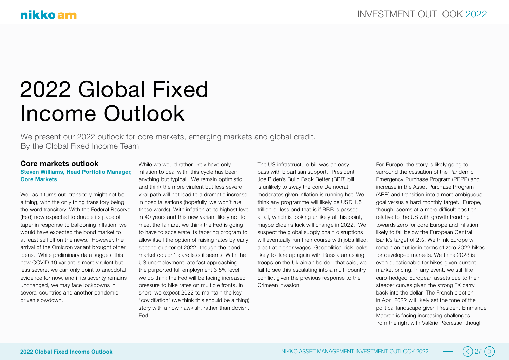## 2022 Global Fixed Income Outlook

We present our 2022 outlook for core markets, emerging markets and global credit. By the Global Fixed Income Team

#### **Core markets outlook**

#### **Steven Williams, Head Portfolio Manager, Core Markets**

Well as it turns out, transitory might not be a thing, with the only thing transitory being the word transitory. With the Federal Reserve (Fed) now expected to double its pace of taper in response to ballooning inflation, we would have expected the bond market to at least sell off on the news. However, the arrival of the Omicron variant brought other ideas. While preliminary data suggest this new COVID-19 variant is more virulent but less severe, we can only point to anecdotal evidence for now, and if its severity remains unchanged, we may face lockdowns in several countries and another pandemicdriven slowdown.

While we would rather likely have only inflation to deal with, this cycle has been anything but typical. We remain optimistic and think the more virulent but less severe viral path will not lead to a dramatic increase in hospitalisations (hopefully, we won't rue these words). With inflation at its highest level in 40 years and this new variant likely not to meet the fanfare, we think the Fed is going to have to accelerate its tapering program to allow itself the option of raising rates by early second quarter of 2022, though the bond market couldn't care less it seems. With the US unemployment rate fast approaching the purported full employment 3.5% level, we do think the Fed will be facing increased pressure to hike rates on multiple fronts. In short, we expect 2022 to maintain the key "covidflation" (we think this should be a thing) story with a now hawkish, rather than dovish, Fed.

The US infrastructure bill was an easy pass with bipartisan support. President Joe Biden's Build Back Better (BBB) bill is unlikely to sway the core Democrat moderates given inflation is running hot. We think any programme will likely be USD 1.5 trillion or less and that is if BBB is passed at all, which is looking unlikely at this point, maybe Biden's luck will change in 2022. We suspect the global supply chain disruptions will eventually run their course with jobs filled, albeit at higher wages. Geopolitical risk looks likely to flare up again with Russia amassing troops on the Ukrainian border; that said, we fail to see this escalating into a multi-country conflict given the previous response to the Crimean invasion.

For Europe, the story is likely going to surround the cessation of the Pandemic Emergency Purchase Program (PEPP) and increase in the Asset Purchase Program (APP) and transition into a more ambiguous goal versus a hard monthly target. Europe, though, seems at a more difficult position relative to the US with growth trending towards zero for core Europe and inflation likely to fall below the European Central Bank's target of 2%. We think Europe will remain an outlier in terms of zero 2022 hikes for developed markets. We think 2023 is even questionable for hikes given current market pricing. In any event, we still like euro-hedged European assets due to their steeper curves given the strong FX carry back into the dollar. The French election in April 2022 will likely set the tone of the political landscape given President Emmanuel Macron is facing increasing challenges from the right with Valérie Pécresse, though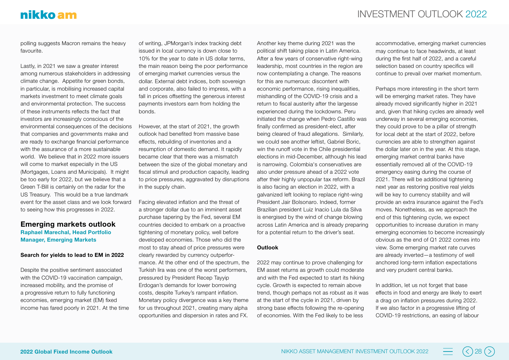## nikko am

polling suggests Macron remains the heavy favourite.

Lastly, in 2021 we saw a greater interest among numerous stakeholders in addressing climate change. Appetite for green bonds, in particular, is mobilising increased capital markets investment to meet climate goals and environmental protection. The success of these instruments reflects the fact that investors are increasingly conscious of the environmental consequences of the decisions that companies and governments make and are ready to exchange financial performance with the assurance of a more sustainable world. We believe that in 2022 more issuers will come to market especially in the US (Mortgages, Loans and Municipals). It might be too early for 2022, but we believe that a Green T-Bill is certainly on the radar for the US Treasury. This would be a true landmark event for the asset class and we look forward to seeing how this progresses in 2022.

## **Emerging markets outlook**

**Raphael Marechal, Head Portfolio Manager, Emerging Markets**

#### **Search for yields to lead to EM in 2022**

Despite the positive sentiment associated with the COVID-19 vaccination campaign. increased mobility, and the promise of a progressive return to fully functioning economies, emerging market (EM) fixed income has fared poorly in 2021. At the time

of writing, JPMorgan's index tracking debt issued in local currency is down close to 10% for the year to date in US dollar terms, the main reason being the poor performance of emerging market currencies versus the dollar. External debt indices, both sovereign and corporate, also failed to impress, with a fall in prices offsetting the generous interest payments investors earn from holding the bonds.

However, at the start of 2021, the growth outlook had benefited from massive base effects, rebuilding of inventories and a resumption of domestic demand. It rapidly became clear that there was a mismatch between the size of the global monetary and fiscal stimuli and production capacity, leading to price pressures, aggravated by disruptions in the supply chain.

Facing elevated inflation and the threat of a stronger dollar due to an imminent asset purchase tapering by the Fed, several EM countries decided to embark on a proactive tightening of monetary policy, well before developed economies. Those who did the most to stay ahead of price pressures were clearly rewarded by currency outperformance. At the other end of the spectrum, the Turkish lira was one of the worst performers, pressured by President Recep Tayyip Erdogan's demands for lower borrowing costs, despite Turkey's rampant inflation. Monetary policy divergence was a key theme for us throughout 2021, creating many alpha opportunities and dispersion in rates and FX.

Another key theme during 2021 was the political shift taking place in Latin America. After a few years of conservative right-wing leadership, most countries in the region are now contemplating a change. The reasons for this are numerous: discontent with economic performance, rising inequalities, mishandling of the COVID-19 crisis and a return to fiscal austerity after the largesse experienced during the lockdowns. Peru initiated the change when Pedro Castillo was finally confirmed as president-elect, after being cleared of fraud allegations. Similarly,

we could see another leftist, Gabriel Boric, win the runoff vote in the Chile presidential elections in mid-December, although his lead is narrowing. Colombia's conservatives are also under pressure ahead of a 2022 vote after their highly unpopular tax reform. Brazil is also facing an election in 2022, with a galvanized left looking to replace right-wing President Jair Bolsonaro. Indeed, former Brazilian president Luiz Inacio Lula da Silva is energised by the wind of change blowing across Latin America and is already preparing for a potential return to the driver's seat.

#### **Outlook**

2022 may continue to prove challenging for EM asset returns as growth could moderate and with the Fed expected to start its hiking cycle. Growth is expected to remain above trend, though perhaps not as robust as it was at the start of the cycle in 2021, driven by strong base effects following the re-opening of economies. With the Fed likely to be less

accommodative, emerging market currencies may continue to face headwinds, at least during the first half of 2022, and a careful selection based on country specifics will continue to prevail over market momentum.

Perhaps more interesting in the short term will be emerging market rates. They have already moved significantly higher in 2021 and, given that hiking cycles are already well underway in several emerging economies, they could prove to be a pillar of strength for local debt at the start of 2022, before currencies are able to strengthen against the dollar later on in the year. At this stage, emerging market central banks have essentially removed all of the COVID-19 emergency easing during the course of 2021. There will be additional tightening next year as restoring positive real yields will be key to currency stability and will provide an extra insurance against the Fed's moves. Nonetheless, as we approach the end of this tightening cycle, we expect opportunities to increase duration in many emerging economies to become increasingly obvious as the end of Q1 2022 comes into view. Some emerging market rate curves are already inverted—a testimony of well anchored long-term inflation expectations and very prudent central banks.

In addition, let us not forget that base effects in food and energy are likely to exert a drag on inflation pressures during 2022. If we also factor in a progressive lifting of COVID-19 restrictions, an easing of labour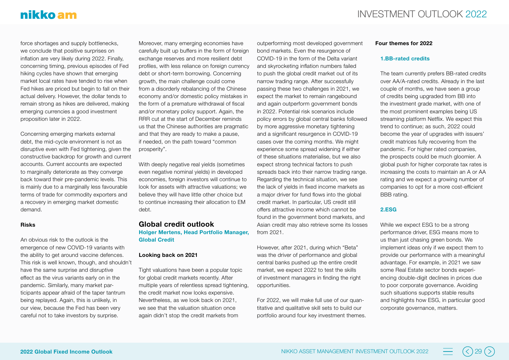## nikko am

force shortages and supply bottlenecks, we conclude that positive surprises on inflation are very likely during 2022. Finally, concerning timing, previous episodes of Fed hiking cycles have shown that emerging market local rates have tended to rise when Fed hikes are priced but begin to fall on their actual delivery. However, the dollar tends to remain strong as hikes are delivered, making emerging currencies a good investment proposition later in 2022.

Concerning emerging markets external debt, the mid-cycle environment is not as disruptive even with Fed tightening, given the constructive backdrop for growth and current accounts. Current accounts are expected to marginally deteriorate as they converge back toward their pre-pandemic levels. This is mainly due to a marginally less favourable terms of trade for commodity exporters and a recovery in emerging market domestic demand.

#### **Risks**

An obvious risk to the outlook is the emergence of new COVID-19 variants with the ability to get around vaccine defences. This risk is well known, though, and shouldn't have the same surprise and disruptive effect as the virus variants early on in the pandemic. Similarly, many market participants appear afraid of the taper tantrum being replayed. Again, this is unlikely, in our view, because the Fed has been very careful not to take investors by surprise.

Moreover, many emerging economies have carefully built up buffers in the form of foreign exchange reserves and more resilient debt profiles, with less reliance on foreign currency debt or short-term borrowing. Concerning growth, the main challenge could come from a disorderly rebalancing of the Chinese economy and/or domestic policy mistakes in the form of a premature withdrawal of fiscal and/or monetary policy support. Again, the RRR cut at the start of December reminds us that the Chinese authorities are pragmatic and that they are ready to make a pause, if needed, on the path toward "common prosperity".

With deeply negative real yields (sometimes even negative nominal yields) in developed economies, foreign investors will continue to look for assets with attractive valuations; we believe they will have little other choice but to continue increasing their allocation to EM debt.

#### **Global credit outlook**

**Holger Mertens, Head Portfolio Manager, Global Credit**

#### **Looking back on 2021**

Tight valuations have been a popular topic for global credit markets recently. After multiple years of relentless spread tightening, the credit market now looks expensive. Nevertheless, as we look back on 2021, we see that the valuation situation once again didn't stop the credit markets from

outperforming most developed government bond markets. Even the resurgence of COVID-19 in the form of the Delta variant and skyrocketing inflation numbers failed to push the global credit market out of its narrow trading range. After successfully passing these two challenges in 2021, we expect the market to remain rangebound and again outperform government bonds in 2022. Potential risk scenarios include policy errors by global central banks followed by more aggressive monetary tightening and a significant resurgence in COVID-19 cases over the coming months. We might experience some spread widening if either of these situations materialise, but we also expect strong technical factors to push spreads back into their narrow trading range. Regarding the technical situation, we see the lack of yields in fixed income markets as a major driver for fund flows into the global credit market. In particular, US credit still offers attractive income which cannot be found in the government bond markets, and Asian credit may also retrieve some its losses from 2021.

However, after 2021, during which "Beta" was the driver of performance and global central banks pushed up the entire credit market, we expect 2022 to test the skills of investment managers in finding the right opportunities.

For 2022, we will make full use of our quantitative and qualitative skill sets to build our portfolio around four key investment themes.

#### **Four themes for 2022**

#### **1.BB-rated credits**

The team currently prefers BB-rated credits over AA/A-rated credits. Already in the last couple of months, we have seen a group of credits being upgraded from BB into the investment grade market, with one of the most prominent examples being US streaming platform Netflix. We expect this trend to continue; as such, 2022 could become the year of upgrades with issuers' credit matrices fully recovering from the pandemic. For higher rated companies, the prospects could be much gloomier. A global push for higher corporate tax rates is increasing the costs to maintain an A or AA rating and we expect a growing number of companies to opt for a more cost-efficient BBB rating.

#### **2.ESG**

While we expect ESG to be a strong performance driver, ESG means more to us than just chasing green bonds. We implement ideas only if we expect them to provide our performance with a meaningful advantage. For example, in 2021 we saw some Real Estate sector bonds experiencing double-digit declines in prices due to poor corporate governance. Avoiding such situations supports stable results and highlights how ESG, in particular good corporate governance, matters.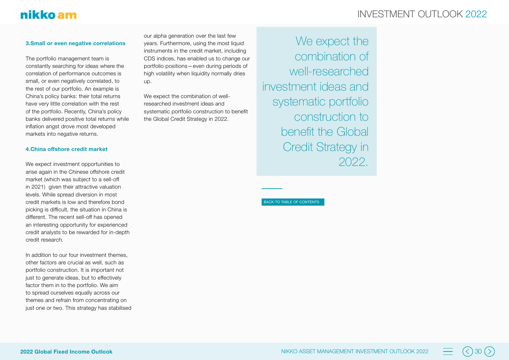## INVESTMENT OUTLOOK 2022

#### **3.Small or even negative correlations**

The portfolio management team is constantly searching for ideas where the correlation of performance outcomes is small, or even negatively correlated, to the rest of our portfolio. An example is China's policy banks: their total returns have very little correlation with the rest of the portfolio. Recently, China's policy banks delivered positive total returns while inflation angst drove most developed markets into negative returns.

#### **4.China offshore credit market**

We expect investment opportunities to arise again in the Chinese offshore credit market (which was subject to a sell-off in 2021) given their attractive valuation levels. While spread diversion in most credit markets is low and therefore bond picking is difficult, the situation in China is different. The recent sell-off has opened an interesting opportunity for experienced credit analysts to be rewarded for in-depth credit research.

In addition to our four investment themes, other factors are crucial as well, such as portfolio construction. It is important not just to generate ideas, but to effectively factor them in to the portfolio. We aim to spread ourselves equally across our themes and refrain from concentrating on just one or two. This strategy has stabilised

our alpha generation over the last few years. Furthermore, using the most liquid instruments in the credit market, including CDS indices, has enabled us to change our portfolio positions—even during periods of high volatility when liquidity normally dries up.

We expect the combination of wellresearched investment ideas and systematic portfolio construction to benefit the Global Credit Strategy in 2022.

We expect the combination of well-researched investment ideas and systematic portfolio construction to benefit the Global Credit Strategy in 2022.

BACK TO TABLE OF CONTENTS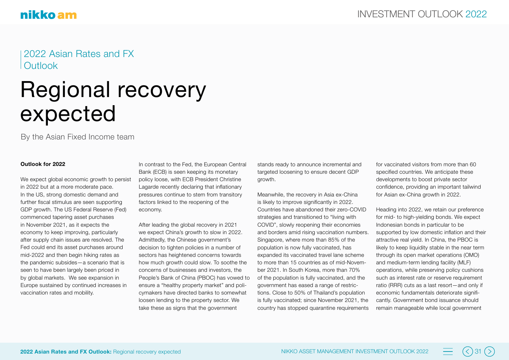### 2022 Asian Rates and FX **Outlook**

## Regional recovery expected

By the Asian Fixed Income team

#### **Outlook for 2022**

We expect global economic growth to persist in 2022 but at a more moderate pace. In the US, strong domestic demand and further fiscal stimulus are seen supporting GDP growth. The US Federal Reserve (Fed) commenced tapering asset purchases in November 2021, as it expects the economy to keep improving, particularly after supply chain issues are resolved. The Fed could end its asset purchases around mid-2022 and then begin hiking rates as the pandemic subsides—a scenario that is seen to have been largely been priced in by global markets. We see expansion in Europe sustained by continued increases in vaccination rates and mobility.

In contrast to the Fed, the European Central Bank (ECB) is seen keeping its monetary policy loose, with ECB President Christine Lagarde recently declaring that inflationary pressures continue to stem from transitory factors linked to the reopening of the economy.

After leading the global recovery in 2021 we expect China's growth to slow in 2022. Admittedly, the Chinese government's decision to tighten policies in a number of sectors has heightened concerns towards how much growth could slow. To soothe the concerns of businesses and investors, the People's Bank of China (PBOC) has vowed to ensure a "healthy property market" and policymakers have directed banks to somewhat loosen lending to the property sector. We take these as signs that the government

stands ready to announce incremental and targeted loosening to ensure decent GDP growth.

Meanwhile, the recovery in Asia ex-China is likely to improve significantly in 2022. Countries have abandoned their zero-COVID strategies and transitioned to "living with COVID", slowly reopening their economies and borders amid rising vaccination numbers. Singapore, where more than 85% of the population is now fully vaccinated, has expanded its vaccinated travel lane scheme to more than 15 countries as of mid-November 2021. In South Korea, more than 70% of the population is fully vaccinated, and the government has eased a range of restrictions. Close to 50% of Thailand's population is fully vaccinated; since November 2021, the country has stopped quarantine requirements for vaccinated visitors from more than 60 specified countries. We anticipate these developments to boost private sector confidence, providing an important tailwind for Asian ex-China growth in 2022.

Heading into 2022, we retain our preference for mid- to high-yielding bonds. We expect Indonesian bonds in particular to be supported by low domestic inflation and their attractive real yield. In China, the PBOC is likely to keep liquidity stable in the near term through its open market operations (OMO) and medium-term lending facility (MLF) operations, while preserving policy cushions such as interest rate or reserve requirement ratio (RRR) cuts as a last resort—and only if economic fundamentals deteriorate significantly. Government bond issuance should remain manageable while local government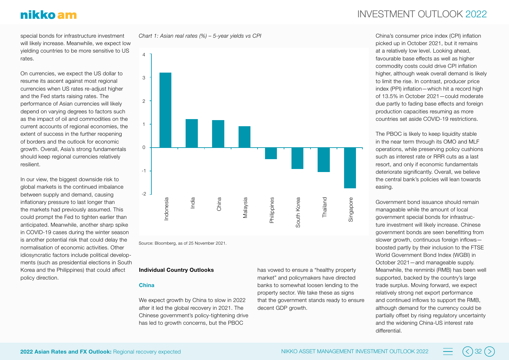special bonds for infrastructure investment will likely increase. Meanwhile, we expect low yielding countries to be more sensitive to US rates.

On currencies, we expect the US dollar to resume its ascent against most regional currencies when US rates re-adjust higher and the Fed starts raising rates. The performance of Asian currencies will likely depend on varying degrees to factors such as the impact of oil and commodities on the current accounts of regional economies, the extent of success in the further reopening of borders and the outlook for economic growth. Overall, Asia's strong fundamentals should keep regional currencies relatively resilient.

In our view, the biggest downside risk to global markets is the continued imbalance between supply and demand, causing inflationary pressure to last longer than the markets had previously assumed. This could prompt the Fed to tighten earlier than anticipated. Meanwhile, another sharp spike in COVID-19 cases during the winter season is another potential risk that could delay the normalisation of economic activities. Other idiosyncratic factors include political developments (such as presidential elections in South Korea and the Philippines) that could affect policy direction.





Source: Bloomberg, as of 25 November 2021.

#### **Individual Country Outlooks**

#### **China**

We expect growth by China to slow in 2022 after it led the global recovery in 2021. The Chinese government's policy-tightening drive has led to growth concerns, but the PBOC

has vowed to ensure a "healthy property market" and policymakers have directed banks to somewhat loosen lending to the property sector. We take these as signs that the government stands ready to ensure decent GDP growth.

## INVESTMENT OUTLOOK 2022

China's consumer price index (CPI) inflation picked up in October 2021, but it remains at a relatively low level. Looking ahead, favourable base effects as well as higher commodity costs could drive CPI inflation higher, although weak overall demand is likely to limit the rise. In contrast, producer price index (PPI) inflation—which hit a record high of 13.5% in October 2021—could moderate due partly to fading base effects and foreign production capacities resuming as more countries set aside COVID-19 restrictions.

The PBOC is likely to keep liquidity stable in the near term through its OMO and MLF operations, while preserving policy cushions such as interest rate or RRR cuts as a last resort, and only if economic fundamentals deteriorate significantly. Overall, we believe the central bank's policies will lean towards easing.

Government bond issuance should remain manageable while the amount of local government special bonds for infrastructure investment will likely increase. Chinese government bonds are seen benefitting from slower growth, continuous foreign inflows boosted partly by their inclusion to the FTSE World Government Bond Index (WGBI) in October 2021—and manageable supply. Meanwhile, the renminbi (RMB) has been well supported, backed by the country's large trade surplus. Moving forward, we expect relatively strong net export performance and continued inflows to support the RMB, although demand for the currency could be partially offset by rising regulatory uncertainty and the widening China-US interest rate differential.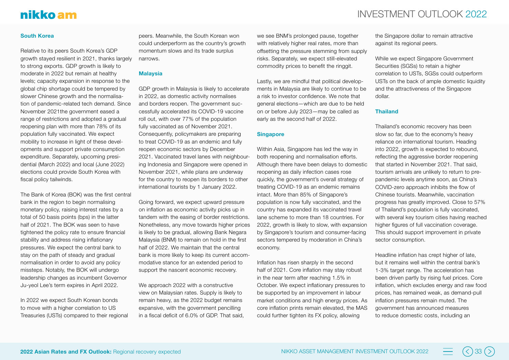## INVESTMENT OUTLOOK 2022

#### **South Korea**

Relative to its peers South Korea's GDP growth stayed resilient in 2021, thanks largely to strong exports. GDP growth is likely to moderate in 2022 but remain at healthy levels; capacity expansion in response to the global chip shortage could be tempered by slower Chinese growth and the normalisation of pandemic-related tech demand. Since November 2021the government eased a range of restrictions and adopted a gradual reopening plan with more than 78% of its population fully vaccinated. We expect mobility to increase in light of these developments and support private consumption expenditure. Separately, upcoming presidential (March 2022) and local (June 2022) elections could provide South Korea with fiscal policy tailwinds.

The Bank of Korea (BOK) was the first central bank in the region to begin normalising monetary policy, raising interest rates by a total of 50 basis points (bps) in the latter half of 2021. The BOK was seen to have tightened the policy rate to ensure financial stability and address rising inflationary pressures. We expect the central bank to stay on the path of steady and gradual normalisation in order to avoid any policy missteps. Notably, the BOK will undergo leadership changes as incumbent Governor Ju-yeol Lee's term expires in April 2022.

In 2022 we expect South Korean bonds to move with a higher correlation to US Treasuries (USTs) compared to their regional peers. Meanwhile, the South Korean won could underperform as the country's growth momentum slows and its trade surplus narrows.

#### **Malaysia**

GDP growth in Malaysia is likely to accelerate in 2022, as domestic activity normalises and borders reopen. The government successfully accelerated its COVID-19 vaccine roll out, with over 77% of the population fully vaccinated as of November 2021. Consequently, policymakers are preparing to treat COVID-19 as an endemic and fully reopen economic sectors by December 2021. Vaccinated travel lanes with neighbouring Indonesia and Singapore were opened in November 2021, while plans are underway for the country to reopen its borders to other international tourists by 1 January 2022.

Going forward, we expect upward pressure on inflation as economic activity picks up in tandem with the easing of border restrictions. Nonetheless, any move towards higher prices is likely to be gradual, allowing Bank Negara Malaysia (BNM) to remain on hold in the first half of 2022. We maintain that the central bank is more likely to keep its current accommodative stance for an extended period to support the nascent economic recovery.

We approach 2022 with a constructive view on Malaysian rates. Supply is likely to remain heavy, as the 2022 budget remains expansive, with the government pencilling in a fiscal deficit of 6.0% of GDP. That said, we see BNM's prolonged pause, together with relatively higher real rates, more than offsetting the pressure stemming from supply risks. Separately, we expect still-elevated commodity prices to benefit the ringgit.

Lastly, we are mindful that political developments in Malaysia are likely to continue to be a risk to investor confidence. We note that general elections—which are due to be held on or before July 2023—may be called as early as the second half of 2022.

#### **Singapore**

Within Asia, Singapore has led the way in both reopening and normalisation efforts. Although there have been delays to domestic reopening as daily infection cases rose quickly, the government's overall strategy of treating COVID-19 as an endemic remains intact. More than 85% of Singapore's population is now fully vaccinated, and the country has expanded its vaccinated travel lane scheme to more than 18 countries. For 2022, growth is likely to slow, with expansion by Singapore's tourism and consumer-facing sectors tempered by moderation in China's economy.

Inflation has risen sharply in the second half of 2021. Core inflation may stay robust in the near term after reaching 1.5% in October. We expect inflationary pressures to be supported by an improvement in labour market conditions and high energy prices. As core inflation prints remain elevated, the MAS could further tighten its FX policy, allowing

the Singapore dollar to remain attractive against its regional peers.

While we expect Singapore Government Securities (SGSs) to retain a higher correlation to USTs, SGSs could outperform USTs on the back of ample domestic liquidity and the attractiveness of the Singapore dollar.

#### **Thailand**

Thailand's economic recovery has been slow so far, due to the economy's heavy reliance on international tourism. Heading into 2022, growth is expected to rebound, reflecting the aggressive border reopening that started in November 2021. That said, tourism arrivals are unlikely to return to prepandemic levels anytime soon, as China's COVID-zero approach inhibits the flow of Chinese tourists. Meanwhile, vaccination progress has greatly improved. Close to 57% of Thailand's population is fully vaccinated, with several key tourism cities having reached higher figures of full vaccination coverage. This should support improvement in private sector consumption.

Headline inflation has crept higher of late, but it remains well within the central bank's 1-3% target range. The acceleration has been driven partly by rising fuel prices. Core inflation, which excludes energy and raw food prices, has remained weak, as demand-pull inflation pressures remain muted. The government has announced measures to reduce domestic costs, including an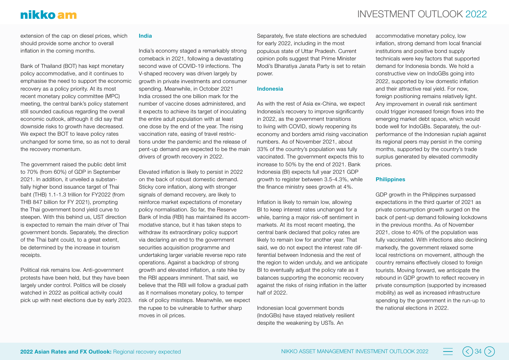## INVESTMENT OUTLOOK 2022

extension of the cap on diesel prices, which should provide some anchor to overall inflation in the coming months.

Bank of Thailand (BOT) has kept monetary policy accommodative, and it continues to emphasise the need to support the economic recovery as a policy priority. At its most recent monetary policy committee (MPC) meeting, the central bank's policy statement still sounded cautious regarding the overall economic outlook, although it did say that downside risks to growth have decreased. We expect the BOT to leave policy rates unchanged for some time, so as not to derail the recovery momentum.

The government raised the public debt limit to 70% (from 60%) of GDP in September 2021. In addition, it unveiled a substantially higher bond issuance target of Thai baht (THB) 1.1-1.3 trillion for FY2022 (from THB 847 billion for FY 2021), prompting the Thai government bond yield curve to steepen. With this behind us, UST direction is expected to remain the main driver of Thai government bonds. Separately, the direction of the Thai baht could, to a great extent, be determined by the increase in tourism receipts.

Political risk remains low. Anti-government protests have been held, but they have been largely under control. Politics will be closely watched in 2022 as political activity could pick up with next elections due by early 2023.

#### **India**

India's economy staged a remarkably strong comeback in 2021, following a devastating second wave of COVID-19 infections. The V-shaped recovery was driven largely by growth in private investments and consumer spending. Meanwhile, in October 2021 India crossed the one billion mark for the number of vaccine doses administered, and it expects to achieve its target of inoculating the entire adult population with at least one dose by the end of the year. The rising vaccination rate, easing of travel restrictions under the pandemic and the release of pent-up demand are expected to be the main drivers of growth recovery in 2022.

Elevated inflation is likely to persist in 2022 on the back of robust domestic demand. Sticky core inflation, along with stronger signals of demand recovery, are likely to reinforce market expectations of monetary policy normalisation. So far, the Reserve Bank of India (RBI) has maintained its accommodative stance, but it has taken steps to withdraw its extraordinary policy support via declaring an end to the government securities acquisition programme and undertaking larger variable reverse repo rate operations. Against a backdrop of strong growth and elevated inflation, a rate hike by the RBI appears imminent. That said, we believe that the RBI will follow a gradual path as it normalises monetary policy, to temper risk of policy missteps. Meanwhile, we expect the rupee to be vulnerable to further sharp moves in oil prices.

Separately, five state elections are scheduled for early 2022, including in the most populous state of Uttar Pradesh. Current opinion polls suggest that Prime Minister Modi's Bharatiya Janata Party is set to retain power.

#### **Indonesia**

As with the rest of Asia ex-China, we expect Indonesia's recovery to improve significantly in 2022, as the government transitions to living with COVID, slowly reopening its economy and borders amid rising vaccination numbers. As of November 2021, about 33% of the country's population was fully vaccinated. The government expects this to increase to 50% by the end of 2021. Bank Indonesia (BI) expects full year 2021 GDP growth to register between 3.5-4.3%, while the finance ministry sees growth at 4%.

Inflation is likely to remain low, allowing BI to keep interest rates unchanged for a while, barring a major risk-off sentiment in markets. At its most recent meeting, the central bank declared that policy rates are likely to remain low for another year. That said, we do not expect the interest rate differential between Indonesia and the rest of the region to widen unduly, and we anticipate BI to eventually adjust the policy rate as it balances supporting the economic recovery against the risks of rising inflation in the latter half of 2022.

Indonesian local government bonds (IndoGBs) have stayed relatively resilient despite the weakening by USTs. An

accommodative monetary policy, low inflation, strong demand from local financial institutions and positive bond supply technicals were key factors that supported demand for Indonesia bonds. We hold a constructive view on IndoGBs going into 2022, supported by low domestic inflation and their attractive real yield. For now, foreign positioning remains relatively light. Any improvement in overall risk sentiment could trigger increased foreign flows into the emerging market debt space, which would bode well for IndoGBs. Separately, the outperformance of the Indonesian rupiah against its regional peers may persist in the coming months, supported by the country's trade surplus generated by elevated commodity prices.

#### **Philippines**

GDP growth in the Philippines surpassed expectations in the third quarter of 2021 as private consumption growth surged on the back of pent-up demand following lockdowns in the previous months. As of November 2021, close to 40% of the population was fully vaccinated. With infections also declining markedly, the government relaxed some local restrictions on movement, although the country remains effectively closed to foreign tourists. Moving forward, we anticipate the rebound in GDP growth to reflect recovery in private consumption (supported by increased mobility) as well as increased infrastructure spending by the government in the run-up to the national elections in 2022.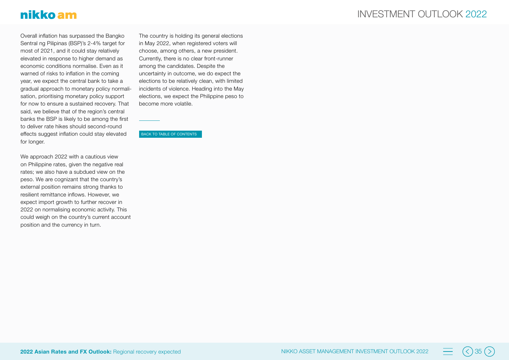## nikko am

Overall inflation has surpassed the Bangko Sentral ng Pilipinas (BSP)'s 2-4% target for most of 2021, and it could stay relatively elevated in response to higher demand as economic conditions normalise. Even as it warned of risks to inflation in the coming year, we expect the central bank to take a gradual approach to monetary policy normalisation, prioritising monetary policy support for now to ensure a sustained recovery. That said, we believe that of the region's central banks the BSP is likely to be among the first to deliver rate hikes should second-round effects suggest inflation could stay elevated for longer.

We approach 2022 with a cautious view on Philippine rates, given the negative real rates; we also have a subdued view on the peso. We are cognizant that the country's external position remains strong thanks to resilient remittance inflows. However, we expect import growth to further recover in 2022 on normalising economic activity. This could weigh on the country's current account position and the currency in turn.

The country is holding its general elections in May 2022, when registered voters will choose, among others, a new president. Currently, there is no clear front-runner among the candidates. Despite the uncertainty in outcome, we do expect the elections to be relatively clean, with limited incidents of violence. Heading into the May elections, we expect the Philippine peso to become more volatile.

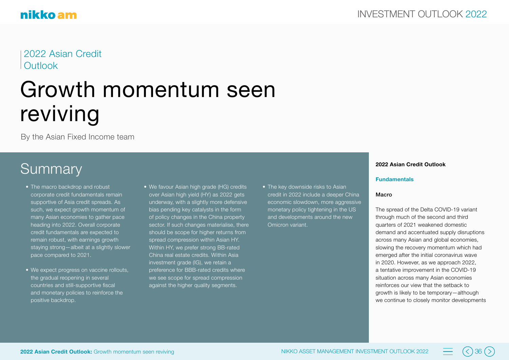2022 Asian Credit **Outlook** 

## Growth momentum seen reviving

By the Asian Fixed Income team

## **Summary**

- The macro backdrop and robust corporate credit fundamentals remain supportive of Asia credit spreads. As such, we expect growth momentum of many Asian economies to gather pace heading into 2022. Overall corporate credit fundamentals are expected to remain robust, with earnings growth staying strong—albeit at a slightly slower pace compared to 2021.
- We expect progress on vaccine rollouts, the gradual reopening in several countries and still-supportive fiscal and monetary policies to reinforce the positive backdrop.
- We favour Asian high grade (HG) credits over Asian high yield (HY) as 2022 gets underway, with a slightly more defensive bias pending key catalysts in the form of policy changes in the China property sector. If such changes materialise, there should be scope for higher returns from spread compression within Asian HY. Within HY, we prefer strong BB-rated China real estate credits. Within Asia investment grade (IG), we retain a preference for BBB-rated credits where we see scope for spread compression against the higher quality segments.
- The key downside risks to Asian credit in 2022 include a deeper China economic slowdown, more aggressive monetary policy tightening in the US and developments around the new Omicron variant.

#### **2022 Asian Credit Outlook**

#### **Fundamentals**

#### Macro

The spread of the Delta COVID-19 variant through much of the second and third quarters of 2021 weakened domestic demand and accentuated supply disruptions across many Asian and global economies, slowing the recovery momentum which had emerged after the initial coronavirus wave in 2020. However, as we approach 2022, a tentative improvement in the COVID-19 situation across many Asian economies reinforces our view that the setback to growth is likely to be temporary—although we continue to closely monitor developments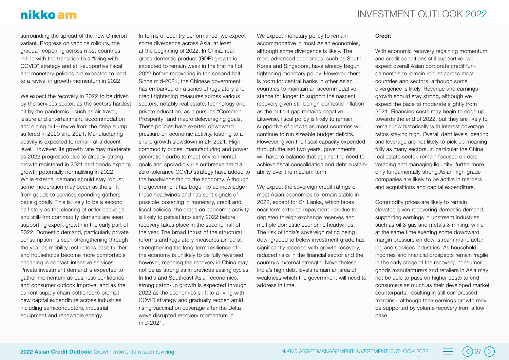## nikko am

surrounding the spread of the new Omicron variant. Progress on vaccine rollouts, the gradual reopening across most countries in line with the transition to a "living with COVID" strategy and still-supportive fiscal and monetary policies are expected to lead to a revival in growth momentum in 2022.

We expect the recovery in 2022 to be driven by the services sector, as the sectors hardest hit by the pandemic—such as air travel, leisure and entertainment, accommodation and dining out—revive from the deep slump suffered in 2020 and 2021. Manufacturing activity is expected to remain at a decent level. However, its growth rate may moderate as 2022 progresses due to already-strong growth registered in 2021 and goods exports growth potentially normalising in 2022. While external demand should stay robust, some moderation may occur as the shift from goods to services spending gathers pace globally. This is likely to be a second half story as the clearing of order backlogs and still-firm commodity demand are seen supporting export growth in the early part of 2022. Domestic demand, particularly private consumption, is seen strengthening through the year as mobility restrictions ease further and households become more comfortable engaging in contact-intensive services. Private investment demand is expected to gather momentum as business confidence and consumer outlook improve, and as the current supply chain bottlenecks prompt new capital expenditure across industries including semiconductors, industrial equipment and renewable energy.

In terms of country performance, we expect some divergence across Asia, at least at the beginning of 2022. In China, real gross domestic product (GDP) growth is expected to remain weak in the first half of 2022 before recovering in the second half. Since mid-2021, the Chinese government has embarked on a series of regulatory and credit tightening measures across various sectors, notably real estate, technology and private education, as it pursues "Common Prosperity" and macro deleveraging goals. These policies have exerted downward pressure on economic activity, leading to a sharp growth slowdown in 2H 2021. High commodity prices, manufacturing and power generation curbs to meet environmental goals and sporadic virus outbreaks amid a zero-tolerance COVID strategy have added to the headwinds facing the economy. Although the government has begun to acknowledge these headwinds and has sent signals of possible loosening in monetary, credit and fiscal policies, the drags on economic activity is likely to persist into early 2022 before recovery takes place in the second half of the year. The broad thrust of the structural reforms and regulatory measures aimed at strengthening the long-term resilience of the economy is unlikely to be fully reversed, however, meaning the recovery in China may not be as strong as in previous easing cycles. In India and Southeast Asian economies, strong catch-up growth is expected through 2022 as the economies shift to a living with COVID strategy and gradually reopen amid rising vaccination coverage after the Delta wave disrupted recovery momentum in mid-2021.

We expect monetary policy to remain accommodative in most Asian economies, although some divergence is likely. The more advanced economies, such as South Korea and Singapore, have already begun tightening monetary policy. However, there is room for central banks in other Asian countries to maintain an accommodative stance for longer to support the nascent recovery given still benign domestic inflation as the output gap remains negative. Likewise, fiscal policy is likely to remain supportive of growth as most countries will continue to run sizeable budget deficits. However, given the fiscal capacity expended through the last two years, governments will have to balance that against the need to achieve fiscal consolidation and debt sustainability over the medium term.

We expect the sovereign credit ratings of most Asian economies to remain stable in 2022, except for Sri Lanka, which faces near-term external repayment risk due to depleted foreign exchange reserves and multiple domestic economic headwinds. The risk of India's sovereign rating being downgraded to below investment grade has significantly receded with growth recovery. reduced risks in the financial sector and the country's external strength. Nevertheless, India's high debt levels remain an area of weakness which the government will need to address in time.

#### Credit

With economic recovery regaining momentum and credit conditions still supportive, we expect overall Asian corporate credit fundamentals to remain robust across most countries and sectors, although some divergence is likely. Revenue and earnings growth should stay strong, although we expect the pace to moderate slightly from 2021. Financing costs may begin to edge up towards the end of 2022, but they are likely to remain low historically with interest coverage ratios staying high. Overall debt levels, gearing and leverage are not likely to pick up meaningfully as many sectors, in particular the China real estate sector, remain focused on deleveraging and managing liquidity; furthermore, only fundamentally strong Asian high-grade companies are likely to be active in mergers and acquisitions and capital expenditure.

Commodity prices are likely to remain elevated given recovering domestic demand, supporting earnings in upstream industries such as oil & gas and metals & mining, while at the same time exerting some downward margin pressure on downstream manufacturing and services industries. As household incomes and financial prospects remain fragile in the early stage of the recovery, consumer goods manufacturers and retailers in Asia may not be able to pass on higher costs to end consumers as much as their developed market counterparts, resulting in still compressed margins—although their earnings growth may be supported by volume recovery from a low base.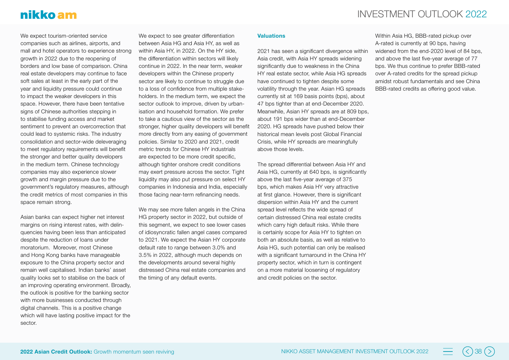We expect tourism-oriented service companies such as airlines, airports, and mall and hotel operators to experience strong growth in 2022 due to the reopening of borders and low base of comparison. China real estate developers may continue to face soft sales at least in the early part of the year and liquidity pressure could continue to impact the weaker developers in this space. However, there have been tentative signs of Chinese authorities stepping in to stabilise funding access and market sentiment to prevent an overcorrection that could lead to systemic risks. The industry consolidation and sector-wide deleveraging to meet regulatory requirements will benefit the stronger and better quality developers in the medium term. Chinese technology companies may also experience slower growth and margin pressure due to the government's regulatory measures, although the credit metrics of most companies in this space remain strong.

Asian banks can expect higher net interest margins on rising interest rates, with delinquencies having been less than anticipated despite the reduction of loans under moratorium. Moreover, most Chinese and Hong Kong banks have manageable exposure to the China property sector and remain well capitalised. Indian banks' asset quality looks set to stabilise on the back of an improving operating environment. Broadly, the outlook is positive for the banking sector with more businesses conducted through digital channels. This is a positive change which will have lasting positive impact for the sector.

We expect to see greater differentiation between Asia HG and Asia HY, as well as within Asia HY, in 2022. On the HY side, the differentiation within sectors will likely continue in 2022. In the near term, weaker developers within the Chinese property sector are likely to continue to struggle due to a loss of confidence from multiple stakeholders. In the medium term, we expect the sector outlook to improve, driven by urbanisation and household formation. We prefer to take a cautious view of the sector as the stronger, higher quality developers will benefit more directly from any easing of government policies. Similar to 2020 and 2021, credit metric trends for Chinese HY industrials are expected to be more credit specific, although tighter onshore credit conditions may exert pressure across the sector. Tight liquidity may also put pressure on select HY companies in Indonesia and India, especially those facing near-term refinancing needs.

We may see more fallen angels in the China HG property sector in 2022, but outside of this segment, we expect to see lower cases of idiosyncratic fallen angel cases compared to 2021. We expect the Asian HY corporate default rate to range between 3.0% and 3.5% in 2022, although much depends on the developments around several highly distressed China real estate companies and the timing of any default events.

#### **Valuations**

2021 has seen a significant divergence within Asia credit, with Asia HY spreads widening significantly due to weakness in the China HY real estate sector, while Asia HG spreads have continued to tighten despite some volatility through the year. Asian HG spreads currently sit at 169 basis points (bps), about 47 bps tighter than at end-December 2020. Meanwhile, Asian HY spreads are at 809 bps, about 191 bps wider than at end-December 2020. HG spreads have pushed below their historical mean levels post Global Financial Crisis, while HY spreads are meaningfully above those levels.

The spread differential between Asia HY and Asia HG, currently at 640 bps, is significantly above the last five-year average of 375 bps, which makes Asia HY very attractive at first glance. However, there is significant dispersion within Asia HY and the current spread level reflects the wide spread of certain distressed China real estate credits which carry high default risks. While there is certainly scope for Asia HY to tighten on both an absolute basis, as well as relative to Asia HG, such potential can only be realised with a significant turnaround in the China HY property sector, which in turn is contingent on a more material loosening of regulatory and credit policies on the sector.

Within Asia HG, BBB-rated pickup over A-rated is currently at 90 bps, having widened from the end-2020 level of 84 bps. and above the last five-year average of 77 bps. We thus continue to prefer BBB-rated over A-rated credits for the spread pickup amidst robust fundamentals and see China BBB-rated credits as offering good value.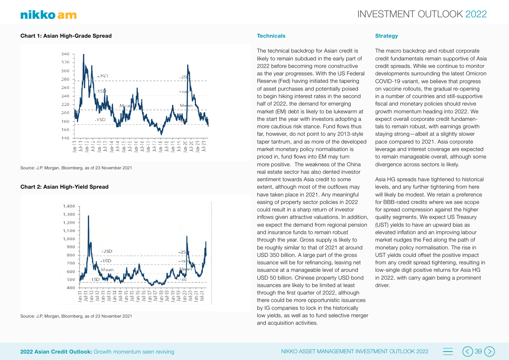#### **Chart 1: Asian High-Grade Spread**



Source: J.P. Morgan, Bloomberg, as of 23 November 2021

#### **Chart 2: Asian High-Yield Spread**



Source: J.P. Morgan, Bloomberg, as of 23 November 2021

#### **Technicals**

The technical backdrop for Asian credit is likely to remain subdued in the early part of 2022 before becoming more constructive as the year progresses. With the US Federal Reserve (Fed) having initiated the tapering of asset purchases and potentially poised to begin hiking interest rates in the second half of 2022, the demand for emerging market (EM) debt is likely to be lukewarm at the start the year with investors adopting a more cautious risk stance. Fund flows thus far, however, do not point to any 2013-style taper tantrum, and as more of the developed market monetary policy normalisation is priced in, fund flows into EM may turn more positive. The weakness of the China real estate sector has also dented investor sentiment towards Asia credit to some extent, although most of the outflows may have taken place in 2021. Any meaningful easing of property sector policies in 2022 could result in a sharp return of investor inflows given attractive valuations. In addition, we expect the demand from regional pension and insurance funds to remain robust through the year. Gross supply is likely to be roughly similar to that of 2021 at around USD 350 billion. A large part of the gross issuance will be for refinancing, leaving net issuance at a manageable level of around USD 50 billion. Chinese property USD bond issuances are likely to be limited at least through the first quarter of 2022, although there could be more opportunistic issuances by IG companies to lock in the historically low yields, as well as to fund selective merger and acquisition activities.

#### **Strategy**

The macro backdrop and robust corporate credit fundamentals remain supportive of Asia credit spreads. While we continue to monitor developments surrounding the latest Omicron COVID-19 variant, we believe that progress on vaccine rollouts, the gradual re-opening in a number of countries and still-supportive fiscal and monetary policies should revive growth momentum heading into 2022. We expect overall corporate credit fundamentals to remain robust, with earnings growth staying strong—albeit at a slightly slower pace compared to 2021. Asia corporate leverage and interest coverage are expected to remain manageable overall, although some divergence across sectors is likely.

Asia HG spreads have tightened to historical levels, and any further tightening from here will likely be modest. We retain a preference for BBB-rated credits where we see scope for spread compression against the higher quality segments. We expect US Treasury (UST) yields to have an upward bias as elevated inflation and an improving labour market nudges the Fed along the path of monetary policy normalisation. The rise in UST yields could offset the positive impact from any credit spread tightening, resulting in low-single digit positive returns for Asia HG in 2022, with carry again being a prominent driver.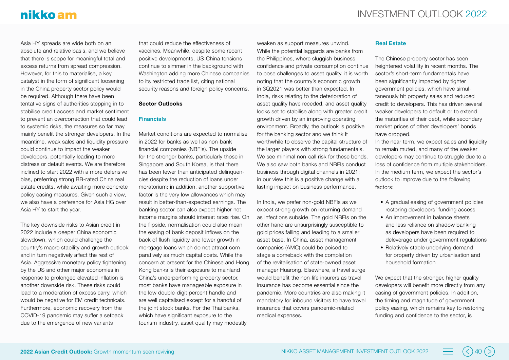Asia HY spreads are wide both on an absolute and relative basis, and we believe that there is scope for meaningful total and excess returns from spread compression. However, for this to materialise, a key catalyst in the form of significant loosening in the China property sector policy would be required. Although there have been tentative signs of authorities stepping in to stabilise credit access and market sentiment to prevent an overcorrection that could lead to systemic risks, the measures so far may mainly benefit the stronger developers. In the meantime, weak sales and liquidity pressure could continue to impact the weaker developers, potentially leading to more distress or default events. We are therefore inclined to start 2022 with a more defensive bias, preferring strong BB-rated China real estate credits, while awaiting more concrete policy easing measures. Given such a view, we also have a preference for Asia HG over Asia HY to start the year.

The key downside risks to Asian credit in 2022 include a deeper China economic slowdown, which could challenge the country's macro stability and growth outlook and in turn negatively affect the rest of Asia. Aggressive monetary policy tightening by the US and other major economies in response to prolonged elevated inflation is another downside risk. These risks could lead to a moderation of excess carry, which would be negative for EM credit technicals. Furthermore, economic recovery from the COVID-19 pandemic may suffer a setback due to the emergence of new variants

that could reduce the effectiveness of vaccines. Meanwhile, despite some recent positive developments, US-China tensions continue to simmer in the background with Washington adding more Chinese companies to its restricted trade list, citing national security reasons and foreign policy concerns.

#### **Sector Outlooks**

#### **Financials**

Market conditions are expected to normalise in 2022 for banks as well as non-bank financial companies (NBFIs). The upside for the stronger banks, particularly those in Singapore and South Korea, is that there has been fewer than anticipated delinquencies despite the reduction of loans under moratorium; in addition, another supportive factor is the very low allowances which may result in better-than-expected earnings. The banking sector can also expect higher net income margins should interest rates rise. On the flipside, normalisation could also mean the easing of bank deposit inflows on the back of flush liquidity and lower growth in mortgage loans which do not attract comparatively as much capital costs. While the concern at present for the Chinese and Hong Kong banks is their exposure to mainland China's underperforming property sector, most banks have manageable exposure in the low double-digit percent handle and are well capitalised except for a handful of the joint stock banks. For the Thai banks, which have significant exposure to the tourism industry, asset quality may modestly

weaken as support measures unwind. While the potential laggards are banks from the Philippines, where sluggish business confidence and private consumption continue to pose challenges to asset quality, it is worth noting that the country's economic growth in 3Q2021 was better than expected. In India, risks relating to the deterioration of asset quality have receded, and asset quality looks set to stabilise along with greater credit growth driven by an improving operating environment. Broadly, the outlook is positive for the banking sector and we think it worthwhile to observe the capital structure of the larger players with strong fundamentals. We see minimal non-call risk for these bonds. We also saw both banks and NBFIs conduct business through digital channels in 2021; in our view this is a positive change with a lasting impact on business performance.

In India, we prefer non-gold NBFIs as we expect strong growth on returning demand as infections subside. The gold NBFIs on the other hand are unsurprisingly susceptible to gold prices falling and leading to a smaller asset base. In China, asset management companies (AMC) could be poised to stage a comeback with the completion of the revitalisation of state-owned asset manager Huarong. Elsewhere, a travel surge would benefit the non-life insurers as travel insurance has become essential since the pandemic. More countries are also making it mandatory for inbound visitors to have travel insurance that covers pandemic-related medical expenses.

#### **Real Estate**

The Chinese property sector has seen heightened volatility in recent months. The sector's short-term fundamentals have been significantly impacted by tighter government policies, which have simultaneously hit property sales and reduced credit to developers. This has driven several weaker developers to default or to extend the maturities of their debt, while secondary market prices of other developers' bonds have dropped.

In the near term, we expect sales and liquidity to remain muted, and many of the weaker developers may continue to struggle due to a loss of confidence from multiple stakeholders. In the medium term, we expect the sector's outlook to improve due to the following factors:

- A gradual easing of government policies restoring developers' funding access
- An improvement in balance sheets and less reliance on shadow banking as developers have been required to deleverage under government regulations
- Relatively stable underlying demand for property driven by urbanisation and household formation

We expect that the stronger, higher quality developers will benefit more directly from any easing of government policies. In addition, the timing and magnitude of government policy easing, which remains key to restoring funding and confidence to the sector, is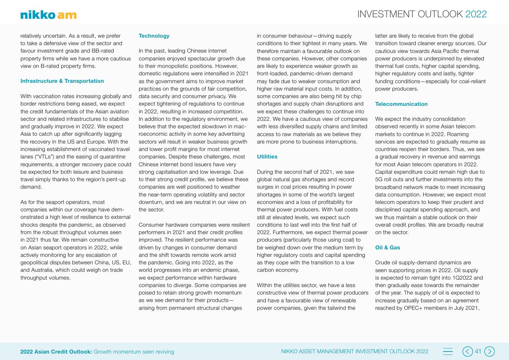relatively uncertain. As a result, we prefer to take a defensive view of the sector and favour investment grade and BB-rated property firms while we have a more cautious view on B-rated property firms.

#### **Infrastructure & Transportation**

With vaccination rates increasing globally and border restrictions being eased, we expect the credit fundamentals of the Asian aviation sector and related infrastructures to stabilise and gradually improve in 2022. We expect Asia to catch up after significantly lagging the recovery in the US and Europe. With the increasing establishment of vaccinated travel lanes ("VTLs") and the easing of quarantine requirements, a stronger recovery pace could be expected for both leisure and business travel simply thanks to the region's pent-up demand.

As for the seaport operators, most companies within our coverage have demonstrated a high level of resilience to external shocks despite the pandemic, as observed from the robust throughput volumes seen in 2021 thus far. We remain constructive on Asian seaport operators in 2022, while actively monitoring for any escalation of geopolitical disputes between China, US, EU, and Australia, which could weigh on trade throughput volumes.

#### **Technology**

In the past, leading Chinese internet companies enjoyed spectacular growth due to their monopolistic positions. However, domestic regulations were intensified in 2021 as the government aims to improve market practices on the grounds of fair competition, data security and consumer privacy. We expect tightening of regulations to continue in 2022, resulting in increased competition. In addition to the regulatory environment, we believe that the expected slowdown in macroeconomic activity in some key advertising sectors will result in weaker business growth and lower profit margins for most internet companies. Despite these challenges, most Chinese internet bond issuers have very strong capitalisation and low leverage. Due to their strong credit profile, we believe these companies are well positioned to weather the near-term operating volatility and sector downturn, and we are neutral in our view on the sector.

Consumer hardware companies were resilient performers in 2021 and their credit profiles improved. The resilient performance was driven by changes in consumer demand and the shift towards remote work amid the pandemic. Going into 2022, as the world progresses into an endemic phase, we expect performance within hardware companies to diverge. Some companies are poised to retain strong growth momentum as we see demand for their products arising from permanent structural changes

in consumer behaviour—driving supply conditions to their tightest in many years. We therefore maintain a favourable outlook on these companies. However, other companies are likely to experience weaker growth as front-loaded, pandemic-driven demand may fade due to weaker consumption and higher raw material input costs. In addition, some companies are also being hit by chip shortages and supply chain disruptions and we expect these challenges to continue into 2022. We have a cautious view of companies with less diversified supply chains and limited access to raw materials as we believe they are more prone to business interruptions.

#### **Utilities**

During the second half of 2021, we saw global natural gas shortages and record surges in coal prices resulting in power shortages in some of the world's largest economies and a loss of profitability for thermal power producers. With fuel costs still at elevated levels, we expect such conditions to last well into the first half of 2022. Furthermore, we expect thermal power producers (particularly those using coal) to be weighed down over the medium term by higher regulatory costs and capital spending as they cope with the transition to a low carbon economy.

Within the utilities sector, we have a less constructive view of thermal power producers and have a favourable view of renewable power companies, given the tailwind the

latter are likely to receive from the global transition toward cleaner energy sources. Our cautious view towards Asia Pacific thermal power producers is underpinned by elevated thermal fuel costs, higher capital spending, higher regulatory costs and lastly, tighter funding conditions—especially for coal-reliant power producers.

#### **Telecommunication**

We expect the industry consolidation observed recently in some Asian telecom markets to continue in 2022. Roaming services are expected to gradually resume as countries reopen their borders. Thus, we see a gradual recovery in revenue and earnings for most Asian telecom operators in 2022. Capital expenditure could remain high due to 5G roll outs and further investments into the broadband network made to meet increasing data consumption. However, we expect most telecom operators to keep their prudent and disciplined capital spending approach, and we thus maintain a stable outlook on their overall credit profiles. We are broadly neutral on the sector.

#### **Oil & Gas**

Crude oil supply-demand dynamics are seen supporting prices in 2022. Oil supply is expected to remain tight into 1Q2022 and then gradually ease towards the remainder of the year. The supply of oil is expected to increase gradually based on an agreement reached by OPEC+ members in July 2021,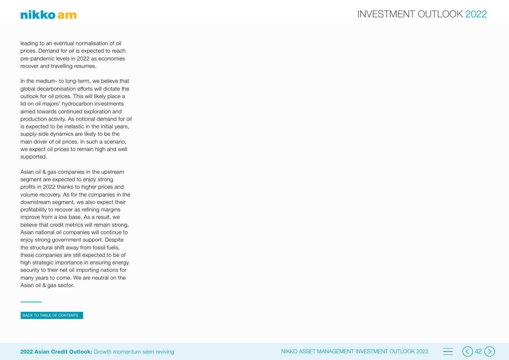leading to an eventual normalisation of oil prices. Demand for oil is expected to reach pre-pandemic levels in 2022 as economies recover and travelling resumes.

In the medium- to long-term, we believe that global decarbonisation efforts will dictate the outlook for oil prices. This will likely place a lid on oil majors' hydrocarbon investments aimed towards continued exploration and production activity. As notional demand for oil is expected to be inelastic in the initial years, supply-side dynamics are likely to be the main driver of oil prices. In such a scenario, we expect oil prices to remain high and well supported.

Asian oil & gas companies in the upstream segment are expected to enjoy strong profits in 2022 thanks to higher prices and volume recovery. As for the companies in the downstream segment, we also expect their profitability to recover as refining margins improve from a low base. As a result, we believe that credit metrics will remain strong. Asian national oil companies will continue to enjoy strong government support. Despite the structural shift away from fossil fuels, these companies are still expected to be of high strategic importance in ensuring energy security to their net oil importing nations for many years to come. We are neutral on the Asian oil & gas sector.

#### BACK TO TABLE OF CONTENTS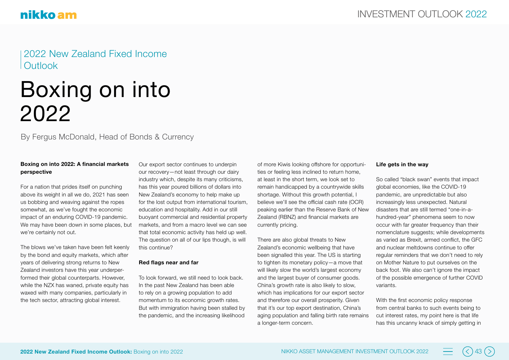2022 New Zealand Fixed Income **Outlook** 

## Boxing on into 2022

By Fergus McDonald, Head of Bonds & Currency

#### **Boxing on into 2022: A financial markets perspective**

For a nation that prides itself on punching above its weight in all we do, 2021 has seen us bobbing and weaving against the ropes somewhat, as we've fought the economic impact of an enduring COVID-19 pandemic. We may have been down in some places, but we're certainly not out.

The blows we've taken have been felt keenly by the bond and equity markets, which after years of delivering strong returns to New Zealand investors have this year underperformed their global counterparts. However, while the NZX has waned, private equity has waxed with many companies, particularly in the tech sector, attracting global interest.

Our export sector continues to underpin our recovery—not least through our dairy industry which, despite its many criticisms, has this year poured billions of dollars into New Zealand's economy to help make up for the lost output from international tourism, education and hospitality. Add in our still buoyant commercial and residential property markets, and from a macro level we can see that total economic activity has held up well. The question on all of our lips though, is will this continue?

#### **Red flags near and far**

To look forward, we still need to look back. In the past New Zealand has been able to rely on a growing population to add momentum to its economic growth rates. But with immigration having been stalled by the pandemic, and the increasing likelihood

of more Kiwis looking offshore for opportunities or feeling less inclined to return home, at least in the short term, we look set to remain handicapped by a countrywide skills shortage. Without this growth potential, I believe we'll see the official cash rate (OCR) peaking earlier than the Reserve Bank of New Zealand (RBNZ) and financial markets are currently pricing.

There are also global threats to New Zealand's economic wellbeing that have been signalled this year. The US is starting to tighten its monetary policy—a move that will likely slow the world's largest economy and the largest buyer of consumer goods. China's growth rate is also likely to slow, which has implications for our export sector and therefore our overall prosperity. Given that it's our top export destination, China's aging population and falling birth rate remains a longer-term concern.

#### **Life gets in the way**

So called "black swan" events that impact global economies, like the COVID-19 pandemic, are unpredictable but also increasingly less unexpected. Natural disasters that are still termed "one-in-ahundred-year" phenomena seem to now occur with far greater frequency than their nomenclature suggests; while developments as varied as Brexit, armed conflict, the GFC and nuclear meltdowns continue to offer regular reminders that we don't need to rely on Mother Nature to put ourselves on the back foot. We also can't ignore the impact of the possible emergence of further COVID variants.

With the first economic policy response from central banks to such events being to cut interest rates, my point here is that life has this uncanny knack of simply getting in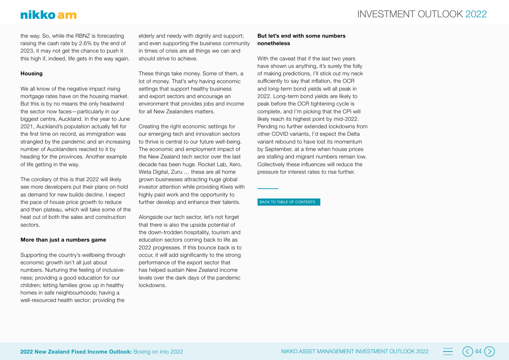## nikko am

the way. So, while the RBNZ is forecasting raising the cash rate by 2.6% by the end of 2023, it may not get the chance to push it this high if, indeed, life gets in the way again.

#### **Housing**

We all know of the negative impact rising mortgage rates have on the housing market. But this is by no means the only headwind the sector now faces—particularly in our biggest centre, Auckland. In the year to June 2021, Auckland's population actually fell for the first time on record, as immigration was strangled by the pandemic and an increasing number of Aucklanders reacted to it by heading for the provinces. Another example of life getting in the way.

The corollary of this is that 2022 will likely see more developers put their plans on hold as demand for new builds decline. I expect the pace of house price growth to reduce and then plateau, which will take some of the heat out of both the sales and construction sectors.

#### **More than just a numbers game**

Supporting the country's wellbeing through economic growth isn't all just about numbers. Nurturing the feeling of inclusiveness; providing a good education for our children; letting families grow up in healthy homes in safe neighbourhoods; having a well-resourced health sector; providing the

elderly and needy with dignity and support: and even supporting the business community in times of crisis are all things we can and should strive to achieve.

These things take money. Some of them, a lot of money. That's why having economic settings that support healthy business and export sectors and encourage an environment that provides jobs and income for all New Zealanders matters.

Creating the right economic settings for our emerging tech and innovation sectors to thrive is central to our future well-being. The economic and employment impact of the New Zealand tech sector over the last decade has been huge. Rocket Lab, Xero, Weta Digital, Zuru … these are all home grown businesses attracting huge global investor attention while providing Kiwis with highly paid work and the opportunity to further develop and enhance their talents.

Alongside our tech sector, let's not forget that there is also the upside potential of the down-trodden hospitality, tourism and education sectors coming back to life as 2022 progresses. If this bounce back is to occur, it will add significantly to the strong performance of the export sector that has helped sustain New Zealand income levels over the dark days of the pandemic lockdowns.

#### **But let's end with some numbers nonetheless**

With the caveat that if the last two years have shown us anything, it's surely the folly of making predictions, I'll stick out my neck sufficiently to say that inflation, the OCR and long-term bond yields will all peak in 2022. Long-term bond yields are likely to peak before the OCR tightening cycle is complete, and I'm picking that the CPI will likely reach its highest point by mid-2022. Pending no further extended lockdowns from other COVID variants, I'd expect the Delta variant rebound to have lost its momentum by September, at a time when house prices are stalling and migrant numbers remain low. Collectively these influences will reduce the pressure for interest rates to rise further.

#### BACK TO TABLE OF CONTENTS

**2022 New Zealand Fixed Income Outlook:** Boxing on into 2022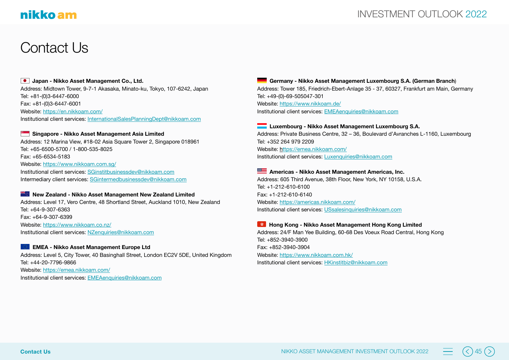## Contact Us

#### **Japan - Nikko Asset Management Co., Ltd.**

Address: Midtown Tower, 9-7-1 Akasaka, Minato-ku, Tokyo, 107-6242, Japan Tel: +81-(0)3-6447-6000 Fax: +81-(0)3-6447-6001 Website:<https://en.nikkoam.com/> Institutional client services: [InternationalSalesPlanningDept@nikkoam.com](mailto:InternationalSalesPlanningDept%40nikkoam.com?subject=)

#### **Singapore - Nikko Asset Management Asia Limited**

Address: 12 Marina View, #18-02 Asia Square Tower 2, Singapore 018961 Tel: +65-6500-5700 / 1-800-535-8025 Fax: +65-6534-5183 Website:<https://www.nikkoam.com.sg/> Institutional client services: [SGinstitbusinessdev@nikkoam.com](mailto:SGinstitbusinessdev%40nikkoam.com?subject=) Intermediary client services: [SGintermedbusinessdev@nikkoam.com](mailto:SGintermedbusinessdev%40nikkoam.com?subject=)

#### **New Zealand - Nikko Asset Management New Zealand Limited**

Address: Level 17, Vero Centre, 48 Shortland Street, Auckland 1010, New Zealand Tel: +64-9-307-6363 Fax: +64-9-307-6399 Website:<https://www.nikkoam.co.nz/> Institutional client services: [NZenquiries@nikkoam.com](mailto:NZenquiries%40nikkoam.com?subject=)

#### **EMEA - Nikko Asset Management Europe Ltd**

Address: Level 5, City Tower, 40 Basinghall Street, London EC2V 5DE, United Kingdom Tel: +44-20-7796-9866 Website:<https://emea.nikkoam.com/> Institutional client services: [EMEAenquiries@nikkoam.com](mailto:EMEAenquiries%40nikkoam.com?subject=)

 **Germany - Nikko Asset Management Luxembourg S.A. (German Branch**) Address: Tower 185, Friedrich-Ebert-Anlage 35 - 37, 60327, Frankfurt am Main, Germany Tel: +49-(0)-69-505047-301

Website: [https://www.nikkoam.de/](https://www.nikkoam.de) Institutional client services: [EMEAenquiries@nikkoam.com](mailto:EMEAenquiries%40nikkoam.com?subject=)

#### **Luxembourg - Nikko Asset Management Luxembourg S.A.**

Address: Private Business Centre, 32 – 36, Boulevard d'Avranches L-1160, Luxembourg Tel: +352 264 979 2209 Website: https://emea.nikkoam.com/ Institutional client services: [Luxenquiries@nikkoam.com](mailto:Luxenquiries%40nikkoam.com?subject=)

#### **Americas - Nikko Asset Management Americas, Inc.**

Address: 605 Third Avenue, 38th Floor, New York, NY 10158, U.S.A. Tel: +1-212-610-6100 Fax: +1-212-610-6140 Website: <https://americas.nikkoam.com/> Institutional client services: [USsalesinquiries@nikkoam.com](mailto:USsalesinquiries%40nikkoam.com?subject=)

#### **Hong Kong - Nikko Asset Management Hong Kong Limited**

Address: 24/F Man Yee Building, 60-68 Des Voeux Road Central, Hong Kong Tel: +852-3940-3900 Fax: +852-3940-3904 Website: <https://www.nikkoam.com.hk/> Institutional client services: [HKinstitbiz@nikkoam.com](mailto:HKinstitbiz%40nikkoam.com?subject=)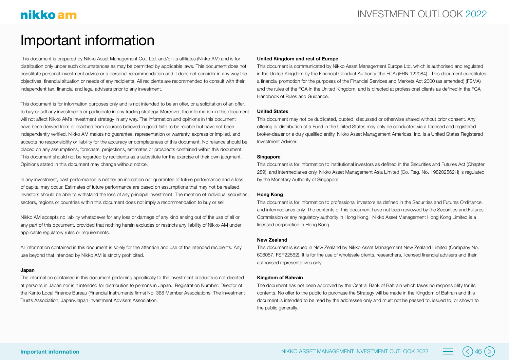## Important information

This document is prepared by Nikko Asset Management Co., Ltd. and/or its affiliates (Nikko AM) and is for distribution only under such circumstances as may be permitted by applicable laws. This document does not constitute personal investment advice or a personal recommendation and it does not consider in any way the objectives, financial situation or needs of any recipients. All recipients are recommended to consult with their independent tax, financial and legal advisers prior to any investment.

This document is for information purposes only and is not intended to be an offer, or a solicitation of an offer, to buy or sell any investments or participate in any trading strategy. Moreover, the information in this document will not affect Nikko AM's investment strategy in any way. The information and opinions in this document have been derived from or reached from sources believed in good faith to be reliable but have not been independently verified. Nikko AM makes no guarantee, representation or warranty, express or implied, and accepts no responsibility or liability for the accuracy or completeness of this document. No reliance should be placed on any assumptions, forecasts, projections, estimates or prospects contained within this document. This document should not be regarded by recipients as a substitute for the exercise of their own judgment. Opinions stated in this document may change without notice.

In any investment, past performance is neither an indication nor guarantee of future performance and a loss of capital may occur. Estimates of future performance are based on assumptions that may not be realised. Investors should be able to withstand the loss of any principal investment. The mention of individual securities, sectors, regions or countries within this document does not imply a recommendation to buy or sell.

Nikko AM accepts no liability whatsoever for any loss or damage of any kind arising out of the use of all or any part of this document, provided that nothing herein excludes or restricts any liability of Nikko AM under applicable regulatory rules or requirements.

All information contained in this document is solely for the attention and use of the intended recipients. Any use beyond that intended by Nikko AM is strictly prohibited.

#### **Japan**

The information contained in this document pertaining specifically to the investment products is not directed at persons in Japan nor is it intended for distribution to persons in Japan. Registration Number: Director of the Kanto Local Finance Bureau (Financial Instruments firms) No. 368 Member Associations: The Investment Trusts Association, Japan/Japan Investment Advisers Association.

#### **United Kingdom and rest of Europe**

This document is communicated by Nikko Asset Management Europe Ltd, which is authorised and regulated in the United Kingdom by the Financial Conduct Authority (the FCA) (FRN 122084). This document constitutes a financial promotion for the purposes of the Financial Services and Markets Act 2000 (as amended) (FSMA) and the rules of the FCA in the United Kingdom, and is directed at professional clients as defined in the FCA Handbook of Rules and Guidance.

#### **United States**

This document may not be duplicated, quoted, discussed or otherwise shared without prior consent. Any offering or distribution of a Fund in the United States may only be conducted via a licensed and registered broker-dealer or a duly qualified entity. Nikko Asset Management Americas, Inc. is a United States Registered Investment Adviser.

#### **Singapore**

This document is for information to institutional investors as defined in the Securities and Futures Act (Chapter 289), and intermediaries only. Nikko Asset Management Asia Limited (Co. Reg. No. 198202562H) is regulated by the Monetary Authority of Singapore.

#### **Hong Kong**

This document is for information to professional investors as defined in the Securities and Futures Ordinance, and intermediaries only. The contents of this document have not been reviewed by the Securities and Futures Commission or any regulatory authority in Hong Kong. Nikko Asset Management Hong Kong Limited is a licensed corporation in Hong Kong.

#### **New Zealand**

This document is issued in New Zealand by Nikko Asset Management New Zealand Limited (Company No. 606057, FSP22562). It is for the use of wholesale clients, researchers, licensed financial advisers and their authorised representatives only.

#### **Kingdom of Bahrain**

The document has not been approved by the Central Bank of Bahrain which takes no responsibility for its contents. No offer to the public to purchase the Strategy will be made in the Kingdom of Bahrain and this document is intended to be read by the addressee only and must not be passed to, issued to, or shown to the public generally.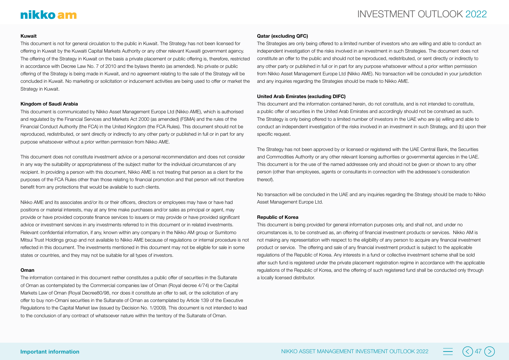#### **Kuwait**

This document is not for general circulation to the public in Kuwait. The Strategy has not been licensed for offering in Kuwait by the Kuwaiti Capital Markets Authority or any other relevant Kuwaiti government agency. The offering of the Strategy in Kuwait on the basis a private placement or public offering is, therefore, restricted in accordance with Decree Law No. 7 of 2010 and the bylaws thereto (as amended). No private or public offering of the Strategy is being made in Kuwait, and no agreement relating to the sale of the Strategy will be concluded in Kuwait. No marketing or solicitation or inducement activities are being used to offer or market the Strategy in Kuwait.

#### **Kingdom of Saudi Arabia**

This document is communicated by Nikko Asset Management Europe Ltd (Nikko AME), which is authorised and regulated by the Financial Services and Markets Act 2000 (as amended) (FSMA) and the rules of the Financial Conduct Authority (the FCA) in the United Kingdom (the FCA Rules). This document should not be reproduced, redistributed, or sent directly or indirectly to any other party or published in full or in part for any purpose whatsoever without a prior written permission from Nikko AME.

This document does not constitute investment advice or a personal recommendation and does not consider in any way the suitability or appropriateness of the subject matter for the individual circumstances of any recipient. In providing a person with this document, Nikko AME is not treating that person as a client for the purposes of the FCA Rules other than those relating to financial promotion and that person will not therefore benefit from any protections that would be available to such clients.

Nikko AME and its associates and/or its or their officers, directors or employees may have or have had positions or material interests, may at any time make purchases and/or sales as principal or agent, may provide or have provided corporate finance services to issuers or may provide or have provided significant advice or investment services in any investments referred to in this document or in related investments. Relevant confidential information, if any, known within any company in the Nikko AM group or Sumitomo Mitsui Trust Holdings group and not available to Nikko AME because of regulations or internal procedure is not reflected in this document. The investments mentioned in this document may not be eligible for sale in some states or countries, and they may not be suitable for all types of investors.

#### **Oman**

The information contained in this document nether constitutes a public offer of securities in the Sultanate of Oman as contemplated by the Commercial companies law of Oman (Royal decree 4/74) or the Capital Markets Law of Oman (Royal Decree80/98, nor does it constitute an offer to sell, or the solicitation of any offer to buy non-Omani securities in the Sultanate of Oman as contemplated by Article 139 of the Executive Regulations to the Capital Market law (issued by Decision No. 1/2009). This document is not intended to lead to the conclusion of any contract of whatsoever nature within the territory of the Sultanate of Oman.

#### **Qatar (excluding QFC)**

The Strategies are only being offered to a limited number of investors who are willing and able to conduct an independent investigation of the risks involved in an investment in such Strategies. The document does not constitute an offer to the public and should not be reproduced, redistributed, or sent directly or indirectly to any other party or published in full or in part for any purpose whatsoever without a prior written permission from Nikko Asset Management Europe Ltd (Nikko AME). No transaction will be concluded in your jurisdiction and any inquiries regarding the Strategies should be made to Nikko AME.

#### **United Arab Emirates (excluding DIFC)**

This document and the information contained herein, do not constitute, and is not intended to constitute, a public offer of securities in the United Arab Emirates and accordingly should not be construed as such. The Strategy is only being offered to a limited number of investors in the UAE who are (a) willing and able to conduct an independent investigation of the risks involved in an investment in such Strategy, and (b) upon their specific request.

The Strategy has not been approved by or licensed or registered with the UAE Central Bank, the Securities and Commodities Authority or any other relevant licensing authorities or governmental agencies in the UAE. This document is for the use of the named addressee only and should not be given or shown to any other person (other than employees, agents or consultants in connection with the addressee's consideration thereof).

No transaction will be concluded in the UAE and any inquiries regarding the Strategy should be made to Nikko Asset Management Europe Ltd.

#### **Republic of Korea**

This document is being provided for general information purposes only, and shall not, and under no circumstances is, to be construed as, an offering of financial investment products or services. Nikko AM is not making any representation with respect to the eligibility of any person to acquire any financial investment product or service. The offering and sale of any financial investment product is subject to the applicable regulations of the Republic of Korea. Any interests in a fund or collective investment scheme shall be sold after such fund is registered under the private placement registration regime in accordance with the applicable regulations of the Republic of Korea, and the offering of such registered fund shall be conducted only through a locally licensed distributor.